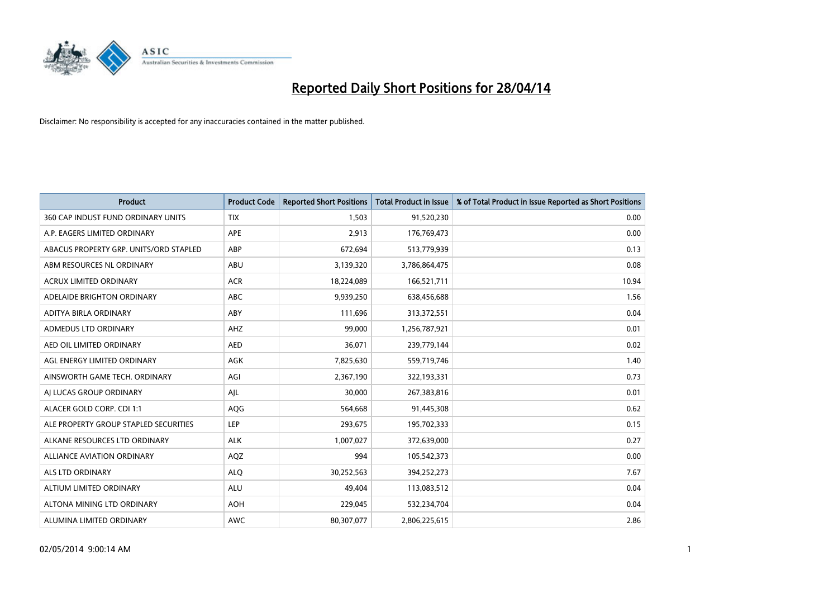

| <b>Product</b>                         | <b>Product Code</b> | <b>Reported Short Positions</b> | Total Product in Issue | % of Total Product in Issue Reported as Short Positions |
|----------------------------------------|---------------------|---------------------------------|------------------------|---------------------------------------------------------|
| 360 CAP INDUST FUND ORDINARY UNITS     | <b>TIX</b>          | 1,503                           | 91,520,230             | 0.00                                                    |
| A.P. EAGERS LIMITED ORDINARY           | APE                 | 2,913                           | 176,769,473            | 0.00                                                    |
| ABACUS PROPERTY GRP. UNITS/ORD STAPLED | ABP                 | 672,694                         | 513,779,939            | 0.13                                                    |
| ABM RESOURCES NL ORDINARY              | ABU                 | 3,139,320                       | 3,786,864,475          | 0.08                                                    |
| <b>ACRUX LIMITED ORDINARY</b>          | <b>ACR</b>          | 18,224,089                      | 166,521,711            | 10.94                                                   |
| ADELAIDE BRIGHTON ORDINARY             | <b>ABC</b>          | 9,939,250                       | 638,456,688            | 1.56                                                    |
| ADITYA BIRLA ORDINARY                  | <b>ABY</b>          | 111,696                         | 313,372,551            | 0.04                                                    |
| ADMEDUS LTD ORDINARY                   | AHZ                 | 99,000                          | 1,256,787,921          | 0.01                                                    |
| AED OIL LIMITED ORDINARY               | <b>AED</b>          | 36,071                          | 239,779,144            | 0.02                                                    |
| AGL ENERGY LIMITED ORDINARY            | <b>AGK</b>          | 7,825,630                       | 559,719,746            | 1.40                                                    |
| AINSWORTH GAME TECH. ORDINARY          | AGI                 | 2,367,190                       | 322,193,331            | 0.73                                                    |
| AI LUCAS GROUP ORDINARY                | AJL                 | 30,000                          | 267,383,816            | 0.01                                                    |
| ALACER GOLD CORP. CDI 1:1              | <b>AQG</b>          | 564,668                         | 91,445,308             | 0.62                                                    |
| ALE PROPERTY GROUP STAPLED SECURITIES  | <b>LEP</b>          | 293,675                         | 195,702,333            | 0.15                                                    |
| ALKANE RESOURCES LTD ORDINARY          | <b>ALK</b>          | 1,007,027                       | 372,639,000            | 0.27                                                    |
| ALLIANCE AVIATION ORDINARY             | AQZ                 | 994                             | 105,542,373            | 0.00                                                    |
| ALS LTD ORDINARY                       | <b>ALQ</b>          | 30,252,563                      | 394,252,273            | 7.67                                                    |
| ALTIUM LIMITED ORDINARY                | ALU                 | 49,404                          | 113,083,512            | 0.04                                                    |
| ALTONA MINING LTD ORDINARY             | <b>AOH</b>          | 229,045                         | 532,234,704            | 0.04                                                    |
| ALUMINA LIMITED ORDINARY               | <b>AWC</b>          | 80,307,077                      | 2,806,225,615          | 2.86                                                    |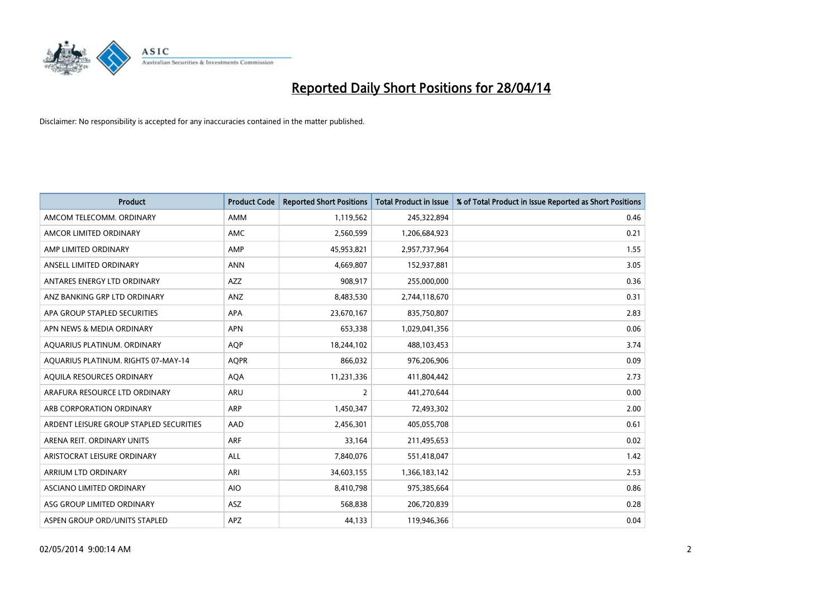

| <b>Product</b>                          | <b>Product Code</b> | <b>Reported Short Positions</b> | <b>Total Product in Issue</b> | % of Total Product in Issue Reported as Short Positions |
|-----------------------------------------|---------------------|---------------------------------|-------------------------------|---------------------------------------------------------|
| AMCOM TELECOMM, ORDINARY                | AMM                 | 1,119,562                       | 245,322,894                   | 0.46                                                    |
| AMCOR LIMITED ORDINARY                  | <b>AMC</b>          | 2,560,599                       | 1,206,684,923                 | 0.21                                                    |
| AMP LIMITED ORDINARY                    | AMP                 | 45,953,821                      | 2,957,737,964                 | 1.55                                                    |
| ANSELL LIMITED ORDINARY                 | <b>ANN</b>          | 4,669,807                       | 152,937,881                   | 3.05                                                    |
| ANTARES ENERGY LTD ORDINARY             | <b>AZZ</b>          | 908,917                         | 255,000,000                   | 0.36                                                    |
| ANZ BANKING GRP LTD ORDINARY            | ANZ                 | 8,483,530                       | 2,744,118,670                 | 0.31                                                    |
| APA GROUP STAPLED SECURITIES            | <b>APA</b>          | 23,670,167                      | 835,750,807                   | 2.83                                                    |
| APN NEWS & MEDIA ORDINARY               | <b>APN</b>          | 653,338                         | 1,029,041,356                 | 0.06                                                    |
| AQUARIUS PLATINUM. ORDINARY             | AQP                 | 18,244,102                      | 488,103,453                   | 3.74                                                    |
| AOUARIUS PLATINUM. RIGHTS 07-MAY-14     | <b>AOPR</b>         | 866,032                         | 976,206,906                   | 0.09                                                    |
| AQUILA RESOURCES ORDINARY               | <b>AQA</b>          | 11,231,336                      | 411,804,442                   | 2.73                                                    |
| ARAFURA RESOURCE LTD ORDINARY           | ARU                 | 2                               | 441,270,644                   | 0.00                                                    |
| ARB CORPORATION ORDINARY                | ARP                 | 1,450,347                       | 72,493,302                    | 2.00                                                    |
| ARDENT LEISURE GROUP STAPLED SECURITIES | AAD                 | 2,456,301                       | 405,055,708                   | 0.61                                                    |
| ARENA REIT. ORDINARY UNITS              | <b>ARF</b>          | 33,164                          | 211,495,653                   | 0.02                                                    |
| ARISTOCRAT LEISURE ORDINARY             | <b>ALL</b>          | 7,840,076                       | 551,418,047                   | 1.42                                                    |
| ARRIUM LTD ORDINARY                     | ARI                 | 34,603,155                      | 1,366,183,142                 | 2.53                                                    |
| ASCIANO LIMITED ORDINARY                | <b>AIO</b>          | 8,410,798                       | 975,385,664                   | 0.86                                                    |
| ASG GROUP LIMITED ORDINARY              | ASZ                 | 568,838                         | 206,720,839                   | 0.28                                                    |
| ASPEN GROUP ORD/UNITS STAPLED           | APZ                 | 44,133                          | 119,946,366                   | 0.04                                                    |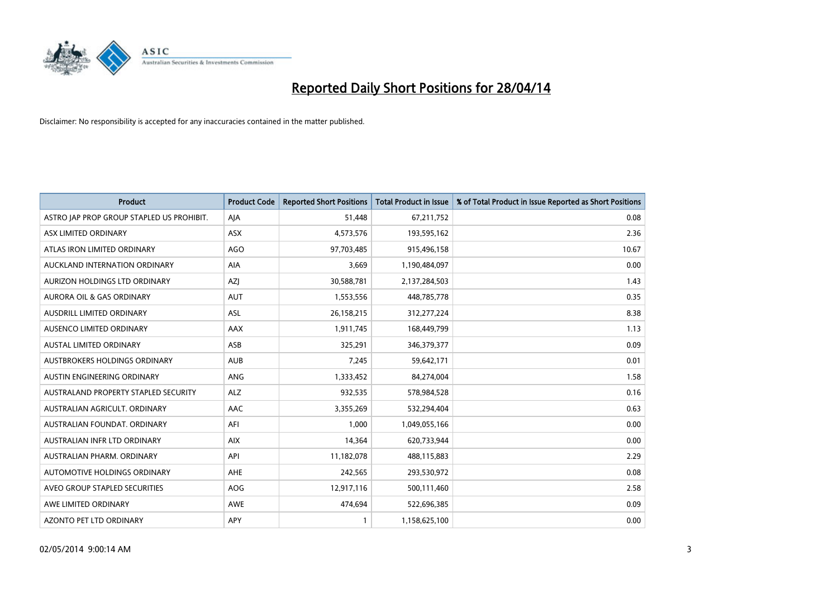

| <b>Product</b>                            | <b>Product Code</b> | <b>Reported Short Positions</b> | <b>Total Product in Issue</b> | % of Total Product in Issue Reported as Short Positions |
|-------------------------------------------|---------------------|---------------------------------|-------------------------------|---------------------------------------------------------|
| ASTRO JAP PROP GROUP STAPLED US PROHIBIT. | AJA                 | 51,448                          | 67,211,752                    | 0.08                                                    |
| ASX LIMITED ORDINARY                      | ASX                 | 4,573,576                       | 193,595,162                   | 2.36                                                    |
| ATLAS IRON LIMITED ORDINARY               | <b>AGO</b>          | 97,703,485                      | 915,496,158                   | 10.67                                                   |
| AUCKLAND INTERNATION ORDINARY             | AIA                 | 3,669                           | 1,190,484,097                 | 0.00                                                    |
| AURIZON HOLDINGS LTD ORDINARY             | AZJ                 | 30,588,781                      | 2,137,284,503                 | 1.43                                                    |
| AURORA OIL & GAS ORDINARY                 | AUT                 | 1,553,556                       | 448,785,778                   | 0.35                                                    |
| AUSDRILL LIMITED ORDINARY                 | ASL                 | 26,158,215                      | 312,277,224                   | 8.38                                                    |
| AUSENCO LIMITED ORDINARY                  | AAX                 | 1,911,745                       | 168,449,799                   | 1.13                                                    |
| <b>AUSTAL LIMITED ORDINARY</b>            | ASB                 | 325,291                         | 346, 379, 377                 | 0.09                                                    |
| <b>AUSTBROKERS HOLDINGS ORDINARY</b>      | <b>AUB</b>          | 7,245                           | 59,642,171                    | 0.01                                                    |
| AUSTIN ENGINEERING ORDINARY               | ANG                 | 1,333,452                       | 84,274,004                    | 1.58                                                    |
| AUSTRALAND PROPERTY STAPLED SECURITY      | <b>ALZ</b>          | 932,535                         | 578,984,528                   | 0.16                                                    |
| AUSTRALIAN AGRICULT. ORDINARY             | AAC                 | 3,355,269                       | 532,294,404                   | 0.63                                                    |
| AUSTRALIAN FOUNDAT, ORDINARY              | AFI                 | 1,000                           | 1,049,055,166                 | 0.00                                                    |
| AUSTRALIAN INFR LTD ORDINARY              | <b>AIX</b>          | 14,364                          | 620,733,944                   | 0.00                                                    |
| AUSTRALIAN PHARM, ORDINARY                | API                 | 11,182,078                      | 488,115,883                   | 2.29                                                    |
| <b>AUTOMOTIVE HOLDINGS ORDINARY</b>       | <b>AHE</b>          | 242,565                         | 293,530,972                   | 0.08                                                    |
| AVEO GROUP STAPLED SECURITIES             | <b>AOG</b>          | 12,917,116                      | 500,111,460                   | 2.58                                                    |
| AWE LIMITED ORDINARY                      | <b>AWE</b>          | 474,694                         | 522,696,385                   | 0.09                                                    |
| AZONTO PET LTD ORDINARY                   | APY                 | 1                               | 1,158,625,100                 | 0.00                                                    |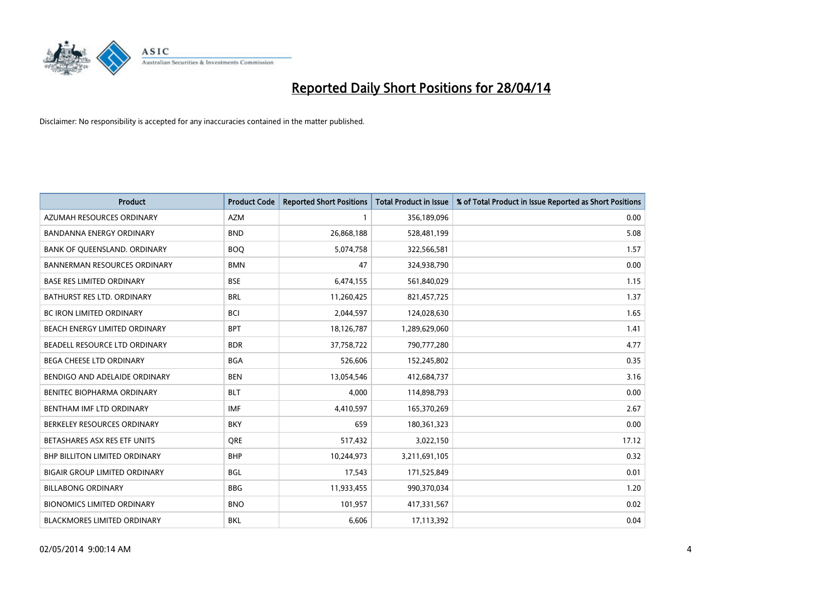

| <b>Product</b>                       | <b>Product Code</b> | <b>Reported Short Positions</b> | <b>Total Product in Issue</b> | % of Total Product in Issue Reported as Short Positions |
|--------------------------------------|---------------------|---------------------------------|-------------------------------|---------------------------------------------------------|
| AZUMAH RESOURCES ORDINARY            | <b>AZM</b>          |                                 | 356,189,096                   | 0.00                                                    |
| <b>BANDANNA ENERGY ORDINARY</b>      | <b>BND</b>          | 26,868,188                      | 528,481,199                   | 5.08                                                    |
| BANK OF QUEENSLAND. ORDINARY         | <b>BOQ</b>          | 5,074,758                       | 322,566,581                   | 1.57                                                    |
| <b>BANNERMAN RESOURCES ORDINARY</b>  | <b>BMN</b>          | 47                              | 324,938,790                   | 0.00                                                    |
| <b>BASE RES LIMITED ORDINARY</b>     | <b>BSE</b>          | 6,474,155                       | 561,840,029                   | 1.15                                                    |
| <b>BATHURST RES LTD. ORDINARY</b>    | <b>BRL</b>          | 11,260,425                      | 821,457,725                   | 1.37                                                    |
| <b>BC IRON LIMITED ORDINARY</b>      | <b>BCI</b>          | 2,044,597                       | 124,028,630                   | 1.65                                                    |
| BEACH ENERGY LIMITED ORDINARY        | <b>BPT</b>          | 18,126,787                      | 1,289,629,060                 | 1.41                                                    |
| BEADELL RESOURCE LTD ORDINARY        | <b>BDR</b>          | 37,758,722                      | 790,777,280                   | 4.77                                                    |
| <b>BEGA CHEESE LTD ORDINARY</b>      | <b>BGA</b>          | 526,606                         | 152,245,802                   | 0.35                                                    |
| BENDIGO AND ADELAIDE ORDINARY        | <b>BEN</b>          | 13,054,546                      | 412,684,737                   | 3.16                                                    |
| BENITEC BIOPHARMA ORDINARY           | <b>BLT</b>          | 4,000                           | 114,898,793                   | 0.00                                                    |
| BENTHAM IMF LTD ORDINARY             | <b>IMF</b>          | 4,410,597                       | 165,370,269                   | 2.67                                                    |
| BERKELEY RESOURCES ORDINARY          | <b>BKY</b>          | 659                             | 180,361,323                   | 0.00                                                    |
| BETASHARES ASX RES ETF UNITS         | <b>ORE</b>          | 517,432                         | 3,022,150                     | 17.12                                                   |
| <b>BHP BILLITON LIMITED ORDINARY</b> | <b>BHP</b>          | 10,244,973                      | 3,211,691,105                 | 0.32                                                    |
| <b>BIGAIR GROUP LIMITED ORDINARY</b> | <b>BGL</b>          | 17,543                          | 171,525,849                   | 0.01                                                    |
| <b>BILLABONG ORDINARY</b>            | <b>BBG</b>          | 11,933,455                      | 990,370,034                   | 1.20                                                    |
| <b>BIONOMICS LIMITED ORDINARY</b>    | <b>BNO</b>          | 101,957                         | 417,331,567                   | 0.02                                                    |
| <b>BLACKMORES LIMITED ORDINARY</b>   | <b>BKL</b>          | 6,606                           | 17,113,392                    | 0.04                                                    |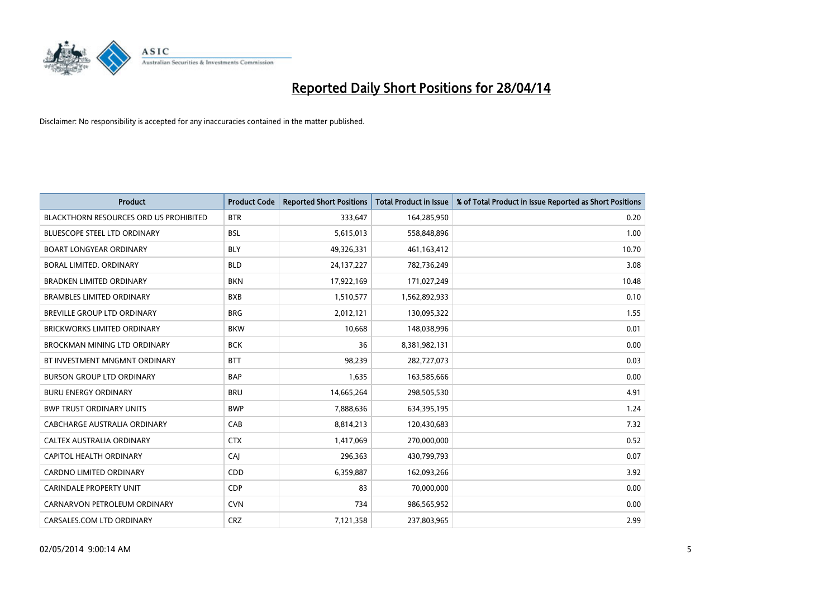

| Product                                       | <b>Product Code</b> | <b>Reported Short Positions</b> | <b>Total Product in Issue</b> | % of Total Product in Issue Reported as Short Positions |
|-----------------------------------------------|---------------------|---------------------------------|-------------------------------|---------------------------------------------------------|
| <b>BLACKTHORN RESOURCES ORD US PROHIBITED</b> | <b>BTR</b>          | 333,647                         | 164,285,950                   | 0.20                                                    |
| <b>BLUESCOPE STEEL LTD ORDINARY</b>           | <b>BSL</b>          | 5,615,013                       | 558,848,896                   | 1.00                                                    |
| <b>BOART LONGYEAR ORDINARY</b>                | <b>BLY</b>          | 49,326,331                      | 461,163,412                   | 10.70                                                   |
| BORAL LIMITED. ORDINARY                       | <b>BLD</b>          | 24,137,227                      | 782,736,249                   | 3.08                                                    |
| <b>BRADKEN LIMITED ORDINARY</b>               | <b>BKN</b>          | 17,922,169                      | 171,027,249                   | 10.48                                                   |
| <b>BRAMBLES LIMITED ORDINARY</b>              | <b>BXB</b>          | 1,510,577                       | 1,562,892,933                 | 0.10                                                    |
| BREVILLE GROUP LTD ORDINARY                   | <b>BRG</b>          | 2,012,121                       | 130,095,322                   | 1.55                                                    |
| <b>BRICKWORKS LIMITED ORDINARY</b>            | <b>BKW</b>          | 10,668                          | 148,038,996                   | 0.01                                                    |
| <b>BROCKMAN MINING LTD ORDINARY</b>           | <b>BCK</b>          | 36                              | 8,381,982,131                 | 0.00                                                    |
| BT INVESTMENT MNGMNT ORDINARY                 | <b>BTT</b>          | 98,239                          | 282,727,073                   | 0.03                                                    |
| <b>BURSON GROUP LTD ORDINARY</b>              | <b>BAP</b>          | 1,635                           | 163,585,666                   | 0.00                                                    |
| <b>BURU ENERGY ORDINARY</b>                   | <b>BRU</b>          | 14,665,264                      | 298,505,530                   | 4.91                                                    |
| <b>BWP TRUST ORDINARY UNITS</b>               | <b>BWP</b>          | 7,888,636                       | 634,395,195                   | 1.24                                                    |
| CABCHARGE AUSTRALIA ORDINARY                  | CAB                 | 8,814,213                       | 120,430,683                   | 7.32                                                    |
| CALTEX AUSTRALIA ORDINARY                     | <b>CTX</b>          | 1,417,069                       | 270,000,000                   | 0.52                                                    |
| CAPITOL HEALTH ORDINARY                       | CAJ                 | 296,363                         | 430,799,793                   | 0.07                                                    |
| CARDNO LIMITED ORDINARY                       | CDD                 | 6,359,887                       | 162,093,266                   | 3.92                                                    |
| CARINDALE PROPERTY UNIT                       | <b>CDP</b>          | 83                              | 70,000,000                    | 0.00                                                    |
| CARNARVON PETROLEUM ORDINARY                  | <b>CVN</b>          | 734                             | 986,565,952                   | 0.00                                                    |
| CARSALES.COM LTD ORDINARY                     | <b>CRZ</b>          | 7,121,358                       | 237,803,965                   | 2.99                                                    |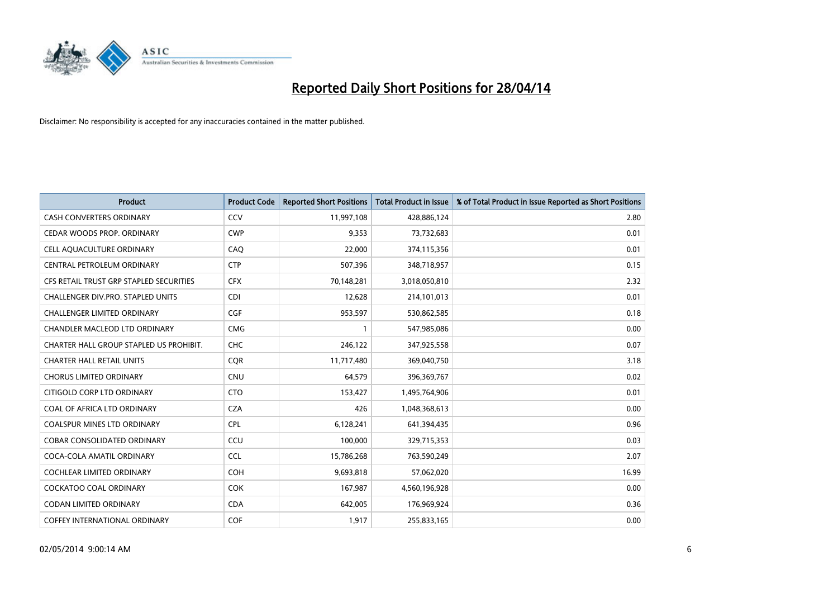

| <b>Product</b>                          | <b>Product Code</b> | <b>Reported Short Positions</b> | <b>Total Product in Issue</b> | % of Total Product in Issue Reported as Short Positions |
|-----------------------------------------|---------------------|---------------------------------|-------------------------------|---------------------------------------------------------|
| <b>CASH CONVERTERS ORDINARY</b>         | CCV                 | 11,997,108                      | 428,886,124                   | 2.80                                                    |
| CEDAR WOODS PROP. ORDINARY              | <b>CWP</b>          | 9,353                           | 73,732,683                    | 0.01                                                    |
| CELL AQUACULTURE ORDINARY               | CAO                 | 22,000                          | 374,115,356                   | 0.01                                                    |
| CENTRAL PETROLEUM ORDINARY              | <b>CTP</b>          | 507,396                         | 348,718,957                   | 0.15                                                    |
| CFS RETAIL TRUST GRP STAPLED SECURITIES | <b>CFX</b>          | 70,148,281                      | 3,018,050,810                 | 2.32                                                    |
| CHALLENGER DIV.PRO. STAPLED UNITS       | <b>CDI</b>          | 12,628                          | 214,101,013                   | 0.01                                                    |
| <b>CHALLENGER LIMITED ORDINARY</b>      | <b>CGF</b>          | 953,597                         | 530,862,585                   | 0.18                                                    |
| CHANDLER MACLEOD LTD ORDINARY           | <b>CMG</b>          | 1                               | 547,985,086                   | 0.00                                                    |
| CHARTER HALL GROUP STAPLED US PROHIBIT. | <b>CHC</b>          | 246,122                         | 347,925,558                   | 0.07                                                    |
| <b>CHARTER HALL RETAIL UNITS</b>        | COR                 | 11,717,480                      | 369,040,750                   | 3.18                                                    |
| <b>CHORUS LIMITED ORDINARY</b>          | <b>CNU</b>          | 64,579                          | 396,369,767                   | 0.02                                                    |
| CITIGOLD CORP LTD ORDINARY              | <b>CTO</b>          | 153,427                         | 1,495,764,906                 | 0.01                                                    |
| COAL OF AFRICA LTD ORDINARY             | <b>CZA</b>          | 426                             | 1,048,368,613                 | 0.00                                                    |
| <b>COALSPUR MINES LTD ORDINARY</b>      | <b>CPL</b>          | 6,128,241                       | 641,394,435                   | 0.96                                                    |
| <b>COBAR CONSOLIDATED ORDINARY</b>      | CCU                 | 100,000                         | 329,715,353                   | 0.03                                                    |
| COCA-COLA AMATIL ORDINARY               | <b>CCL</b>          | 15,786,268                      | 763,590,249                   | 2.07                                                    |
| <b>COCHLEAR LIMITED ORDINARY</b>        | <b>COH</b>          | 9,693,818                       | 57,062,020                    | 16.99                                                   |
| <b>COCKATOO COAL ORDINARY</b>           | <b>COK</b>          | 167,987                         | 4,560,196,928                 | 0.00                                                    |
| <b>CODAN LIMITED ORDINARY</b>           | <b>CDA</b>          | 642,005                         | 176,969,924                   | 0.36                                                    |
| COFFEY INTERNATIONAL ORDINARY           | <b>COF</b>          | 1,917                           | 255,833,165                   | 0.00                                                    |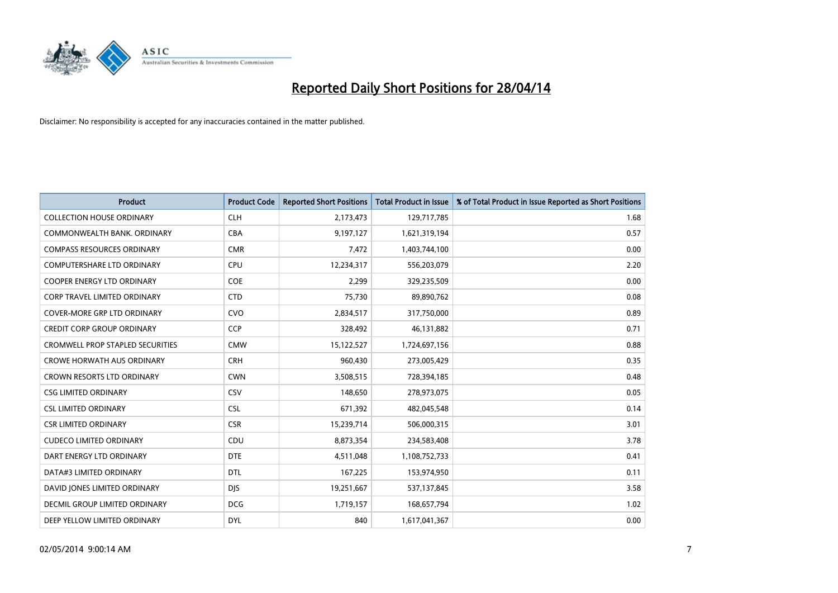

| <b>Product</b>                          | <b>Product Code</b> | <b>Reported Short Positions</b> | <b>Total Product in Issue</b> | % of Total Product in Issue Reported as Short Positions |
|-----------------------------------------|---------------------|---------------------------------|-------------------------------|---------------------------------------------------------|
| <b>COLLECTION HOUSE ORDINARY</b>        | <b>CLH</b>          | 2,173,473                       | 129,717,785                   | 1.68                                                    |
| COMMONWEALTH BANK, ORDINARY             | <b>CBA</b>          | 9,197,127                       | 1,621,319,194                 | 0.57                                                    |
| <b>COMPASS RESOURCES ORDINARY</b>       | <b>CMR</b>          | 7,472                           | 1,403,744,100                 | 0.00                                                    |
| <b>COMPUTERSHARE LTD ORDINARY</b>       | <b>CPU</b>          | 12,234,317                      | 556,203,079                   | 2.20                                                    |
| <b>COOPER ENERGY LTD ORDINARY</b>       | <b>COE</b>          | 2,299                           | 329,235,509                   | 0.00                                                    |
| CORP TRAVEL LIMITED ORDINARY            | <b>CTD</b>          | 75,730                          | 89,890,762                    | 0.08                                                    |
| <b>COVER-MORE GRP LTD ORDINARY</b>      | <b>CVO</b>          | 2,834,517                       | 317,750,000                   | 0.89                                                    |
| <b>CREDIT CORP GROUP ORDINARY</b>       | <b>CCP</b>          | 328,492                         | 46,131,882                    | 0.71                                                    |
| <b>CROMWELL PROP STAPLED SECURITIES</b> | <b>CMW</b>          | 15,122,527                      | 1,724,697,156                 | 0.88                                                    |
| <b>CROWE HORWATH AUS ORDINARY</b>       | <b>CRH</b>          | 960,430                         | 273,005,429                   | 0.35                                                    |
| CROWN RESORTS LTD ORDINARY              | <b>CWN</b>          | 3,508,515                       | 728,394,185                   | 0.48                                                    |
| <b>CSG LIMITED ORDINARY</b>             | CSV                 | 148,650                         | 278,973,075                   | 0.05                                                    |
| <b>CSL LIMITED ORDINARY</b>             | <b>CSL</b>          | 671,392                         | 482,045,548                   | 0.14                                                    |
| <b>CSR LIMITED ORDINARY</b>             | <b>CSR</b>          | 15,239,714                      | 506,000,315                   | 3.01                                                    |
| <b>CUDECO LIMITED ORDINARY</b>          | CDU                 | 8,873,354                       | 234,583,408                   | 3.78                                                    |
| DART ENERGY LTD ORDINARY                | <b>DTE</b>          | 4,511,048                       | 1,108,752,733                 | 0.41                                                    |
| DATA#3 LIMITED ORDINARY                 | DTL                 | 167,225                         | 153,974,950                   | 0.11                                                    |
| DAVID JONES LIMITED ORDINARY            | <b>DJS</b>          | 19,251,667                      | 537,137,845                   | 3.58                                                    |
| DECMIL GROUP LIMITED ORDINARY           | <b>DCG</b>          | 1,719,157                       | 168,657,794                   | 1.02                                                    |
| DEEP YELLOW LIMITED ORDINARY            | <b>DYL</b>          | 840                             | 1,617,041,367                 | 0.00                                                    |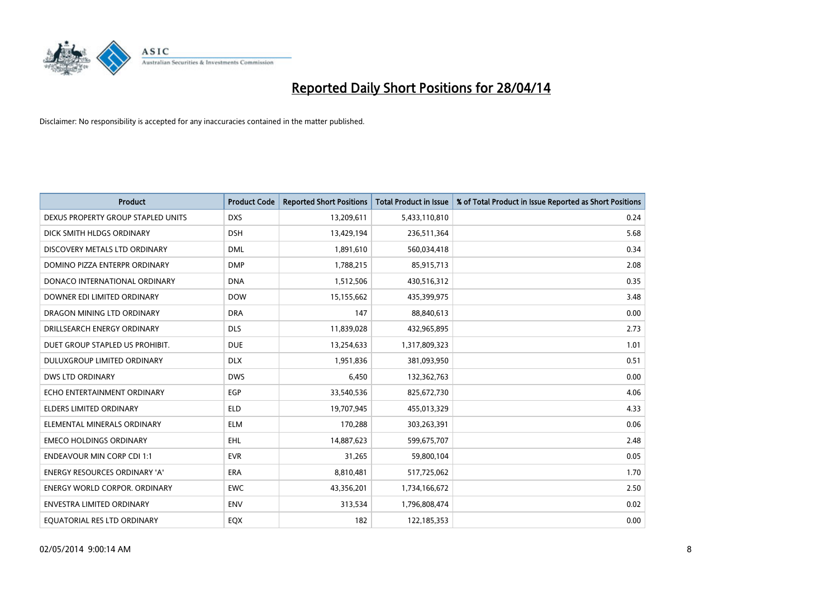

| <b>Product</b>                       | <b>Product Code</b> | <b>Reported Short Positions</b> | <b>Total Product in Issue</b> | % of Total Product in Issue Reported as Short Positions |
|--------------------------------------|---------------------|---------------------------------|-------------------------------|---------------------------------------------------------|
| DEXUS PROPERTY GROUP STAPLED UNITS   | <b>DXS</b>          | 13,209,611                      | 5,433,110,810                 | 0.24                                                    |
| DICK SMITH HLDGS ORDINARY            | <b>DSH</b>          | 13,429,194                      | 236,511,364                   | 5.68                                                    |
| DISCOVERY METALS LTD ORDINARY        | <b>DML</b>          | 1,891,610                       | 560,034,418                   | 0.34                                                    |
| DOMINO PIZZA ENTERPR ORDINARY        | <b>DMP</b>          | 1,788,215                       | 85,915,713                    | 2.08                                                    |
| DONACO INTERNATIONAL ORDINARY        | <b>DNA</b>          | 1,512,506                       | 430,516,312                   | 0.35                                                    |
| DOWNER EDI LIMITED ORDINARY          | <b>DOW</b>          | 15,155,662                      | 435,399,975                   | 3.48                                                    |
| DRAGON MINING LTD ORDINARY           | <b>DRA</b>          | 147                             | 88,840,613                    | 0.00                                                    |
| DRILLSEARCH ENERGY ORDINARY          | <b>DLS</b>          | 11,839,028                      | 432,965,895                   | 2.73                                                    |
| DUET GROUP STAPLED US PROHIBIT.      | <b>DUE</b>          | 13,254,633                      | 1,317,809,323                 | 1.01                                                    |
| DULUXGROUP LIMITED ORDINARY          | <b>DLX</b>          | 1,951,836                       | 381,093,950                   | 0.51                                                    |
| <b>DWS LTD ORDINARY</b>              | <b>DWS</b>          | 6,450                           | 132,362,763                   | 0.00                                                    |
| ECHO ENTERTAINMENT ORDINARY          | EGP                 | 33,540,536                      | 825,672,730                   | 4.06                                                    |
| <b>ELDERS LIMITED ORDINARY</b>       | <b>ELD</b>          | 19,707,945                      | 455,013,329                   | 4.33                                                    |
| ELEMENTAL MINERALS ORDINARY          | <b>ELM</b>          | 170,288                         | 303,263,391                   | 0.06                                                    |
| <b>EMECO HOLDINGS ORDINARY</b>       | <b>EHL</b>          | 14,887,623                      | 599,675,707                   | 2.48                                                    |
| <b>ENDEAVOUR MIN CORP CDI 1:1</b>    | <b>EVR</b>          | 31,265                          | 59,800,104                    | 0.05                                                    |
| <b>ENERGY RESOURCES ORDINARY 'A'</b> | <b>ERA</b>          | 8,810,481                       | 517,725,062                   | 1.70                                                    |
| <b>ENERGY WORLD CORPOR. ORDINARY</b> | <b>EWC</b>          | 43,356,201                      | 1,734,166,672                 | 2.50                                                    |
| ENVESTRA LIMITED ORDINARY            | <b>ENV</b>          | 313,534                         | 1,796,808,474                 | 0.02                                                    |
| EQUATORIAL RES LTD ORDINARY          | EQX                 | 182                             | 122,185,353                   | 0.00                                                    |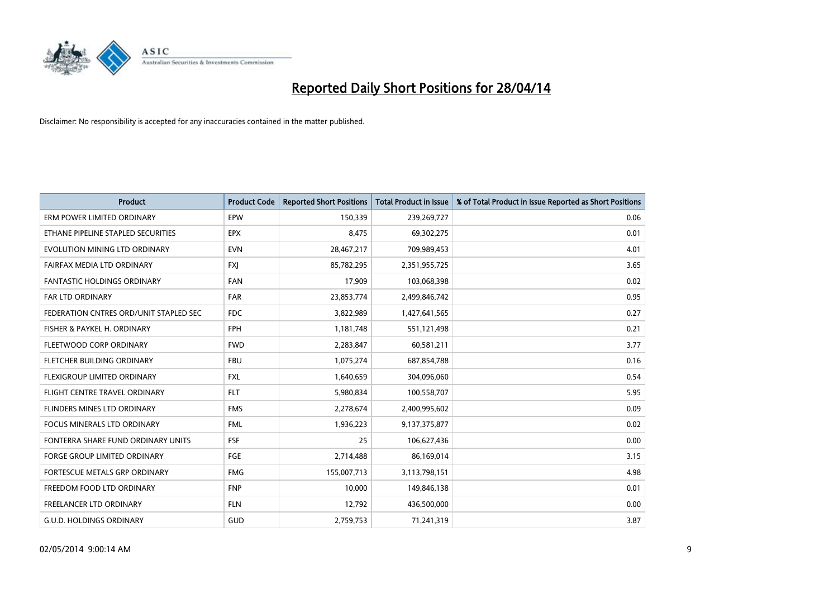

| <b>Product</b>                         | <b>Product Code</b> | <b>Reported Short Positions</b> | <b>Total Product in Issue</b> | % of Total Product in Issue Reported as Short Positions |
|----------------------------------------|---------------------|---------------------------------|-------------------------------|---------------------------------------------------------|
| ERM POWER LIMITED ORDINARY             | <b>EPW</b>          | 150,339                         | 239,269,727                   | 0.06                                                    |
| ETHANE PIPELINE STAPLED SECURITIES     | <b>EPX</b>          | 8,475                           | 69,302,275                    | 0.01                                                    |
| EVOLUTION MINING LTD ORDINARY          | <b>EVN</b>          | 28,467,217                      | 709,989,453                   | 4.01                                                    |
| FAIRFAX MEDIA LTD ORDINARY             | <b>FXJ</b>          | 85,782,295                      | 2,351,955,725                 | 3.65                                                    |
| <b>FANTASTIC HOLDINGS ORDINARY</b>     | <b>FAN</b>          | 17,909                          | 103,068,398                   | 0.02                                                    |
| <b>FAR LTD ORDINARY</b>                | <b>FAR</b>          | 23,853,774                      | 2,499,846,742                 | 0.95                                                    |
| FEDERATION CNTRES ORD/UNIT STAPLED SEC | <b>FDC</b>          | 3,822,989                       | 1,427,641,565                 | 0.27                                                    |
| FISHER & PAYKEL H. ORDINARY            | <b>FPH</b>          | 1,181,748                       | 551,121,498                   | 0.21                                                    |
| FLEETWOOD CORP ORDINARY                | <b>FWD</b>          | 2,283,847                       | 60,581,211                    | 3.77                                                    |
| FLETCHER BUILDING ORDINARY             | <b>FBU</b>          | 1,075,274                       | 687,854,788                   | 0.16                                                    |
| FLEXIGROUP LIMITED ORDINARY            | <b>FXL</b>          | 1,640,659                       | 304,096,060                   | 0.54                                                    |
| FLIGHT CENTRE TRAVEL ORDINARY          | <b>FLT</b>          | 5,980,834                       | 100,558,707                   | 5.95                                                    |
| FLINDERS MINES LTD ORDINARY            | <b>FMS</b>          | 2,278,674                       | 2,400,995,602                 | 0.09                                                    |
| <b>FOCUS MINERALS LTD ORDINARY</b>     | <b>FML</b>          | 1,936,223                       | 9,137,375,877                 | 0.02                                                    |
| FONTERRA SHARE FUND ORDINARY UNITS     | <b>FSF</b>          | 25                              | 106,627,436                   | 0.00                                                    |
| <b>FORGE GROUP LIMITED ORDINARY</b>    | FGE                 | 2,714,488                       | 86,169,014                    | 3.15                                                    |
| FORTESCUE METALS GRP ORDINARY          | <b>FMG</b>          | 155,007,713                     | 3,113,798,151                 | 4.98                                                    |
| FREEDOM FOOD LTD ORDINARY              | <b>FNP</b>          | 10,000                          | 149,846,138                   | 0.01                                                    |
| <b>FREELANCER LTD ORDINARY</b>         | <b>FLN</b>          | 12,792                          | 436,500,000                   | 0.00                                                    |
| <b>G.U.D. HOLDINGS ORDINARY</b>        | GUD                 | 2,759,753                       | 71,241,319                    | 3.87                                                    |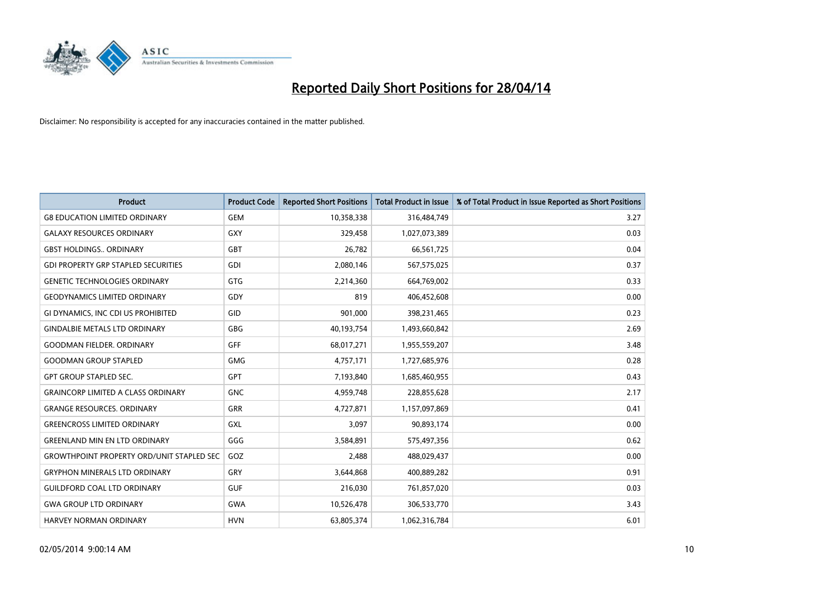

| <b>Product</b>                                   | <b>Product Code</b> | <b>Reported Short Positions</b> | <b>Total Product in Issue</b> | % of Total Product in Issue Reported as Short Positions |
|--------------------------------------------------|---------------------|---------------------------------|-------------------------------|---------------------------------------------------------|
| <b>G8 EDUCATION LIMITED ORDINARY</b>             | <b>GEM</b>          | 10,358,338                      | 316,484,749                   | 3.27                                                    |
| <b>GALAXY RESOURCES ORDINARY</b>                 | <b>GXY</b>          | 329,458                         | 1,027,073,389                 | 0.03                                                    |
| <b>GBST HOLDINGS ORDINARY</b>                    | <b>GBT</b>          | 26,782                          | 66,561,725                    | 0.04                                                    |
| <b>GDI PROPERTY GRP STAPLED SECURITIES</b>       | GDI                 | 2,080,146                       | 567,575,025                   | 0.37                                                    |
| <b>GENETIC TECHNOLOGIES ORDINARY</b>             | GTG                 | 2,214,360                       | 664,769,002                   | 0.33                                                    |
| <b>GEODYNAMICS LIMITED ORDINARY</b>              | GDY                 | 819                             | 406,452,608                   | 0.00                                                    |
| GI DYNAMICS, INC CDI US PROHIBITED               | GID                 | 901,000                         | 398,231,465                   | 0.23                                                    |
| <b>GINDALBIE METALS LTD ORDINARY</b>             | GBG                 | 40,193,754                      | 1,493,660,842                 | 2.69                                                    |
| <b>GOODMAN FIELDER, ORDINARY</b>                 | <b>GFF</b>          | 68,017,271                      | 1,955,559,207                 | 3.48                                                    |
| <b>GOODMAN GROUP STAPLED</b>                     | <b>GMG</b>          | 4,757,171                       | 1,727,685,976                 | 0.28                                                    |
| <b>GPT GROUP STAPLED SEC.</b>                    | GPT                 | 7,193,840                       | 1,685,460,955                 | 0.43                                                    |
| <b>GRAINCORP LIMITED A CLASS ORDINARY</b>        | <b>GNC</b>          | 4,959,748                       | 228,855,628                   | 2.17                                                    |
| <b>GRANGE RESOURCES. ORDINARY</b>                | GRR                 | 4,727,871                       | 1,157,097,869                 | 0.41                                                    |
| <b>GREENCROSS LIMITED ORDINARY</b>               | <b>GXL</b>          | 3,097                           | 90,893,174                    | 0.00                                                    |
| <b>GREENLAND MIN EN LTD ORDINARY</b>             | GGG                 | 3,584,891                       | 575,497,356                   | 0.62                                                    |
| <b>GROWTHPOINT PROPERTY ORD/UNIT STAPLED SEC</b> | GOZ                 | 2,488                           | 488,029,437                   | 0.00                                                    |
| <b>GRYPHON MINERALS LTD ORDINARY</b>             | GRY                 | 3,644,868                       | 400,889,282                   | 0.91                                                    |
| <b>GUILDFORD COAL LTD ORDINARY</b>               | <b>GUF</b>          | 216,030                         | 761,857,020                   | 0.03                                                    |
| <b>GWA GROUP LTD ORDINARY</b>                    | <b>GWA</b>          | 10,526,478                      | 306,533,770                   | 3.43                                                    |
| <b>HARVEY NORMAN ORDINARY</b>                    | <b>HVN</b>          | 63,805,374                      | 1,062,316,784                 | 6.01                                                    |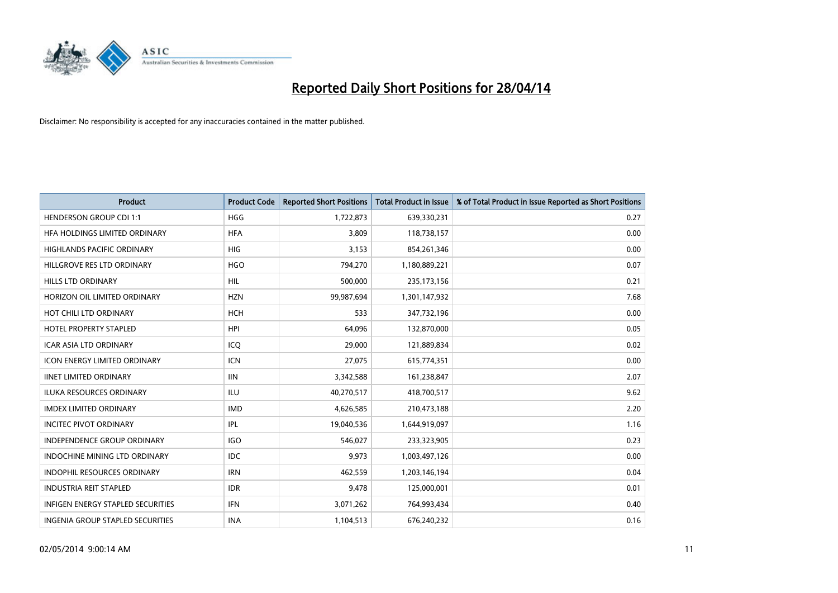

| <b>Product</b>                           | <b>Product Code</b> | <b>Reported Short Positions</b> | <b>Total Product in Issue</b> | % of Total Product in Issue Reported as Short Positions |
|------------------------------------------|---------------------|---------------------------------|-------------------------------|---------------------------------------------------------|
| <b>HENDERSON GROUP CDI 1:1</b>           | <b>HGG</b>          | 1,722,873                       | 639,330,231                   | 0.27                                                    |
| HFA HOLDINGS LIMITED ORDINARY            | <b>HFA</b>          | 3,809                           | 118,738,157                   | 0.00                                                    |
| <b>HIGHLANDS PACIFIC ORDINARY</b>        | <b>HIG</b>          | 3,153                           | 854,261,346                   | 0.00                                                    |
| HILLGROVE RES LTD ORDINARY               | <b>HGO</b>          | 794,270                         | 1,180,889,221                 | 0.07                                                    |
| <b>HILLS LTD ORDINARY</b>                | <b>HIL</b>          | 500,000                         | 235, 173, 156                 | 0.21                                                    |
| HORIZON OIL LIMITED ORDINARY             | <b>HZN</b>          | 99,987,694                      | 1,301,147,932                 | 7.68                                                    |
| HOT CHILI LTD ORDINARY                   | <b>HCH</b>          | 533                             | 347,732,196                   | 0.00                                                    |
| <b>HOTEL PROPERTY STAPLED</b>            | <b>HPI</b>          | 64,096                          | 132,870,000                   | 0.05                                                    |
| <b>ICAR ASIA LTD ORDINARY</b>            | ICQ                 | 29,000                          | 121,889,834                   | 0.02                                                    |
| <b>ICON ENERGY LIMITED ORDINARY</b>      | <b>ICN</b>          | 27,075                          | 615,774,351                   | 0.00                                                    |
| <b>IINET LIMITED ORDINARY</b>            | <b>IIN</b>          | 3,342,588                       | 161,238,847                   | 2.07                                                    |
| <b>ILUKA RESOURCES ORDINARY</b>          | ILU                 | 40,270,517                      | 418,700,517                   | 9.62                                                    |
| <b>IMDEX LIMITED ORDINARY</b>            | <b>IMD</b>          | 4,626,585                       | 210,473,188                   | 2.20                                                    |
| <b>INCITEC PIVOT ORDINARY</b>            | <b>IPL</b>          | 19,040,536                      | 1,644,919,097                 | 1.16                                                    |
| <b>INDEPENDENCE GROUP ORDINARY</b>       | <b>IGO</b>          | 546,027                         | 233,323,905                   | 0.23                                                    |
| <b>INDOCHINE MINING LTD ORDINARY</b>     | IDC                 | 9,973                           | 1,003,497,126                 | 0.00                                                    |
| INDOPHIL RESOURCES ORDINARY              | <b>IRN</b>          | 462,559                         | 1,203,146,194                 | 0.04                                                    |
| <b>INDUSTRIA REIT STAPLED</b>            | <b>IDR</b>          | 9,478                           | 125,000,001                   | 0.01                                                    |
| <b>INFIGEN ENERGY STAPLED SECURITIES</b> | <b>IFN</b>          | 3,071,262                       | 764,993,434                   | 0.40                                                    |
| INGENIA GROUP STAPLED SECURITIES         | <b>INA</b>          | 1,104,513                       | 676,240,232                   | 0.16                                                    |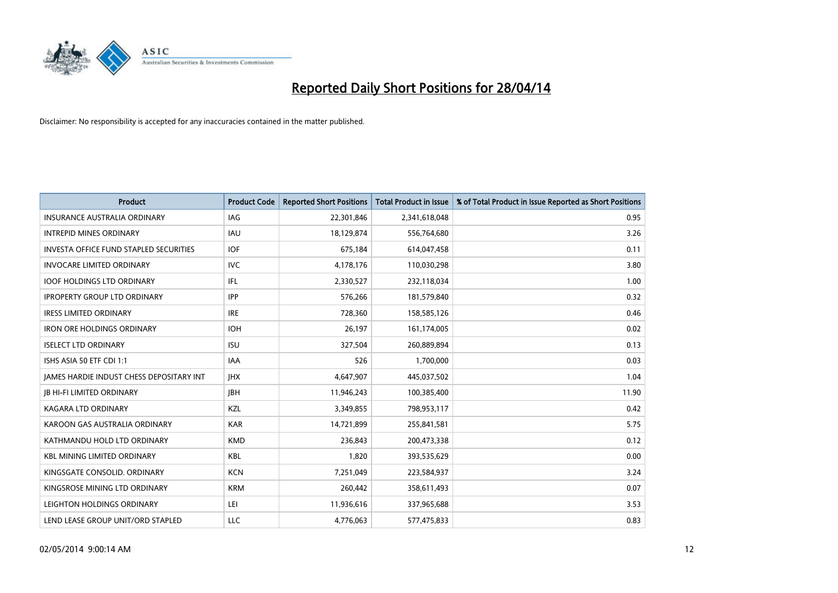

| <b>Product</b>                                  | <b>Product Code</b> | <b>Reported Short Positions</b> | <b>Total Product in Issue</b> | % of Total Product in Issue Reported as Short Positions |
|-------------------------------------------------|---------------------|---------------------------------|-------------------------------|---------------------------------------------------------|
| <b>INSURANCE AUSTRALIA ORDINARY</b>             | IAG                 | 22,301,846                      | 2,341,618,048                 | 0.95                                                    |
| <b>INTREPID MINES ORDINARY</b>                  | <b>IAU</b>          | 18,129,874                      | 556,764,680                   | 3.26                                                    |
| <b>INVESTA OFFICE FUND STAPLED SECURITIES</b>   | <b>IOF</b>          | 675,184                         | 614,047,458                   | 0.11                                                    |
| <b>INVOCARE LIMITED ORDINARY</b>                | <b>IVC</b>          | 4,178,176                       | 110,030,298                   | 3.80                                                    |
| <b>IOOF HOLDINGS LTD ORDINARY</b>               | IFL                 | 2,330,527                       | 232,118,034                   | 1.00                                                    |
| <b>IPROPERTY GROUP LTD ORDINARY</b>             | <b>IPP</b>          | 576,266                         | 181,579,840                   | 0.32                                                    |
| <b>IRESS LIMITED ORDINARY</b>                   | <b>IRE</b>          | 728,360                         | 158,585,126                   | 0.46                                                    |
| <b>IRON ORE HOLDINGS ORDINARY</b>               | <b>IOH</b>          | 26,197                          | 161,174,005                   | 0.02                                                    |
| <b>ISELECT LTD ORDINARY</b>                     | <b>ISU</b>          | 327,504                         | 260,889,894                   | 0.13                                                    |
| ISHS ASIA 50 ETF CDI 1:1                        | <b>IAA</b>          | 526                             | 1,700,000                     | 0.03                                                    |
| <b>JAMES HARDIE INDUST CHESS DEPOSITARY INT</b> | <b>IHX</b>          | 4,647,907                       | 445,037,502                   | 1.04                                                    |
| <b>JB HI-FI LIMITED ORDINARY</b>                | <b>IBH</b>          | 11,946,243                      | 100,385,400                   | 11.90                                                   |
| <b>KAGARA LTD ORDINARY</b>                      | KZL                 | 3,349,855                       | 798,953,117                   | 0.42                                                    |
| KAROON GAS AUSTRALIA ORDINARY                   | <b>KAR</b>          | 14,721,899                      | 255,841,581                   | 5.75                                                    |
| KATHMANDU HOLD LTD ORDINARY                     | <b>KMD</b>          | 236,843                         | 200,473,338                   | 0.12                                                    |
| <b>KBL MINING LIMITED ORDINARY</b>              | <b>KBL</b>          | 1,820                           | 393,535,629                   | 0.00                                                    |
| KINGSGATE CONSOLID. ORDINARY                    | <b>KCN</b>          | 7,251,049                       | 223,584,937                   | 3.24                                                    |
| KINGSROSE MINING LTD ORDINARY                   | <b>KRM</b>          | 260,442                         | 358,611,493                   | 0.07                                                    |
| LEIGHTON HOLDINGS ORDINARY                      | LEI                 | 11,936,616                      | 337,965,688                   | 3.53                                                    |
| LEND LEASE GROUP UNIT/ORD STAPLED               | LLC                 | 4,776,063                       | 577,475,833                   | 0.83                                                    |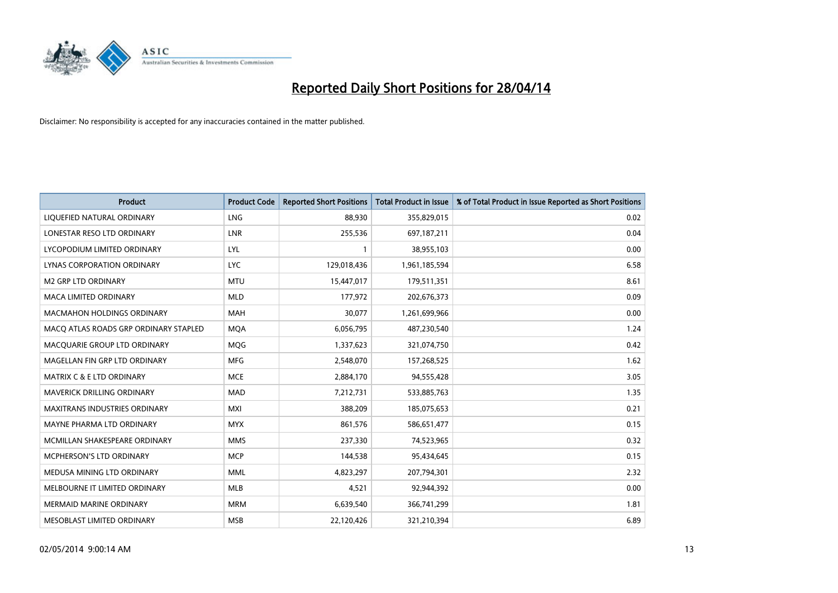

| <b>Product</b>                        | <b>Product Code</b> | <b>Reported Short Positions</b> | <b>Total Product in Issue</b> | % of Total Product in Issue Reported as Short Positions |
|---------------------------------------|---------------------|---------------------------------|-------------------------------|---------------------------------------------------------|
| LIQUEFIED NATURAL ORDINARY            | <b>LNG</b>          | 88,930                          | 355,829,015                   | 0.02                                                    |
| LONESTAR RESO LTD ORDINARY            | LNR                 | 255,536                         | 697, 187, 211                 | 0.04                                                    |
| LYCOPODIUM LIMITED ORDINARY           | <b>LYL</b>          | 1                               | 38,955,103                    | 0.00                                                    |
| LYNAS CORPORATION ORDINARY            | <b>LYC</b>          | 129,018,436                     | 1,961,185,594                 | 6.58                                                    |
| <b>M2 GRP LTD ORDINARY</b>            | <b>MTU</b>          | 15,447,017                      | 179,511,351                   | 8.61                                                    |
| <b>MACA LIMITED ORDINARY</b>          | <b>MLD</b>          | 177,972                         | 202,676,373                   | 0.09                                                    |
| <b>MACMAHON HOLDINGS ORDINARY</b>     | <b>MAH</b>          | 30,077                          | 1,261,699,966                 | 0.00                                                    |
| MACO ATLAS ROADS GRP ORDINARY STAPLED | <b>MQA</b>          | 6,056,795                       | 487,230,540                   | 1.24                                                    |
| MACQUARIE GROUP LTD ORDINARY          | <b>MOG</b>          | 1,337,623                       | 321,074,750                   | 0.42                                                    |
| MAGELLAN FIN GRP LTD ORDINARY         | <b>MFG</b>          | 2,548,070                       | 157,268,525                   | 1.62                                                    |
| MATRIX C & E LTD ORDINARY             | <b>MCE</b>          | 2,884,170                       | 94,555,428                    | 3.05                                                    |
| MAVERICK DRILLING ORDINARY            | <b>MAD</b>          | 7,212,731                       | 533,885,763                   | 1.35                                                    |
| MAXITRANS INDUSTRIES ORDINARY         | <b>MXI</b>          | 388,209                         | 185,075,653                   | 0.21                                                    |
| MAYNE PHARMA LTD ORDINARY             | <b>MYX</b>          | 861,576                         | 586,651,477                   | 0.15                                                    |
| MCMILLAN SHAKESPEARE ORDINARY         | <b>MMS</b>          | 237,330                         | 74,523,965                    | 0.32                                                    |
| MCPHERSON'S LTD ORDINARY              | <b>MCP</b>          | 144,538                         | 95,434,645                    | 0.15                                                    |
| MEDUSA MINING LTD ORDINARY            | <b>MML</b>          | 4,823,297                       | 207,794,301                   | 2.32                                                    |
| MELBOURNE IT LIMITED ORDINARY         | <b>MLB</b>          | 4,521                           | 92,944,392                    | 0.00                                                    |
| <b>MERMAID MARINE ORDINARY</b>        | <b>MRM</b>          | 6,639,540                       | 366,741,299                   | 1.81                                                    |
| MESOBLAST LIMITED ORDINARY            | <b>MSB</b>          | 22,120,426                      | 321,210,394                   | 6.89                                                    |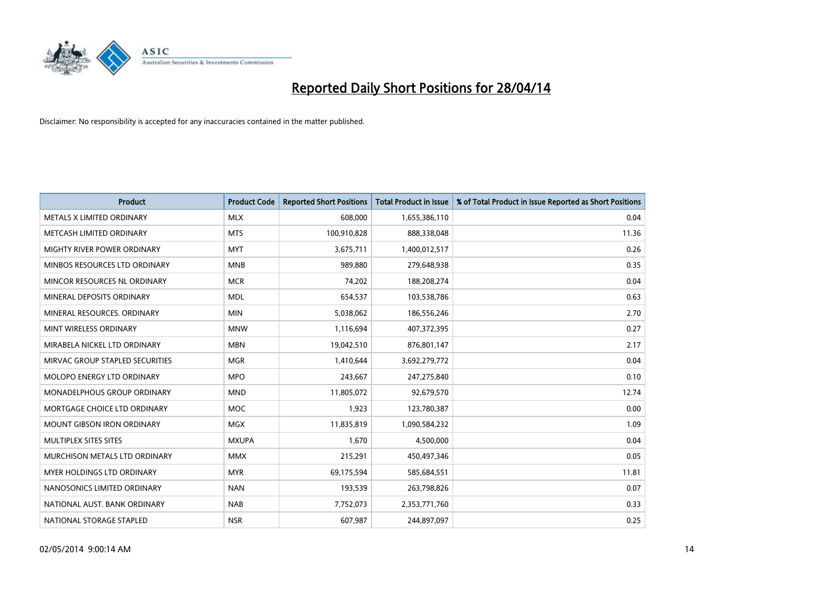

| <b>Product</b>                  | <b>Product Code</b> | <b>Reported Short Positions</b> | <b>Total Product in Issue</b> | % of Total Product in Issue Reported as Short Positions |
|---------------------------------|---------------------|---------------------------------|-------------------------------|---------------------------------------------------------|
| METALS X LIMITED ORDINARY       | <b>MLX</b>          | 608,000                         | 1,655,386,110                 | 0.04                                                    |
| METCASH LIMITED ORDINARY        | <b>MTS</b>          | 100,910,828                     | 888,338,048                   | 11.36                                                   |
| MIGHTY RIVER POWER ORDINARY     | <b>MYT</b>          | 3,675,711                       | 1,400,012,517                 | 0.26                                                    |
| MINBOS RESOURCES LTD ORDINARY   | <b>MNB</b>          | 989,880                         | 279,648,938                   | 0.35                                                    |
| MINCOR RESOURCES NL ORDINARY    | <b>MCR</b>          | 74,202                          | 188,208,274                   | 0.04                                                    |
| MINERAL DEPOSITS ORDINARY       | <b>MDL</b>          | 654,537                         | 103,538,786                   | 0.63                                                    |
| MINERAL RESOURCES. ORDINARY     | <b>MIN</b>          | 5,038,062                       | 186,556,246                   | 2.70                                                    |
| MINT WIRELESS ORDINARY          | <b>MNW</b>          | 1,116,694                       | 407,372,395                   | 0.27                                                    |
| MIRABELA NICKEL LTD ORDINARY    | <b>MBN</b>          | 19,042,510                      | 876,801,147                   | 2.17                                                    |
| MIRVAC GROUP STAPLED SECURITIES | <b>MGR</b>          | 1,410,644                       | 3,692,279,772                 | 0.04                                                    |
| MOLOPO ENERGY LTD ORDINARY      | <b>MPO</b>          | 243,667                         | 247,275,840                   | 0.10                                                    |
| MONADELPHOUS GROUP ORDINARY     | <b>MND</b>          | 11,805,072                      | 92,679,570                    | 12.74                                                   |
| MORTGAGE CHOICE LTD ORDINARY    | <b>MOC</b>          | 1,923                           | 123,780,387                   | 0.00                                                    |
| MOUNT GIBSON IRON ORDINARY      | <b>MGX</b>          | 11,835,819                      | 1,090,584,232                 | 1.09                                                    |
| MULTIPLEX SITES SITES           | <b>MXUPA</b>        | 1,670                           | 4,500,000                     | 0.04                                                    |
| MURCHISON METALS LTD ORDINARY   | <b>MMX</b>          | 215,291                         | 450,497,346                   | 0.05                                                    |
| MYER HOLDINGS LTD ORDINARY      | <b>MYR</b>          | 69,175,594                      | 585,684,551                   | 11.81                                                   |
| NANOSONICS LIMITED ORDINARY     | <b>NAN</b>          | 193,539                         | 263,798,826                   | 0.07                                                    |
| NATIONAL AUST, BANK ORDINARY    | <b>NAB</b>          | 7,752,073                       | 2,353,771,760                 | 0.33                                                    |
| NATIONAL STORAGE STAPLED        | <b>NSR</b>          | 607,987                         | 244,897,097                   | 0.25                                                    |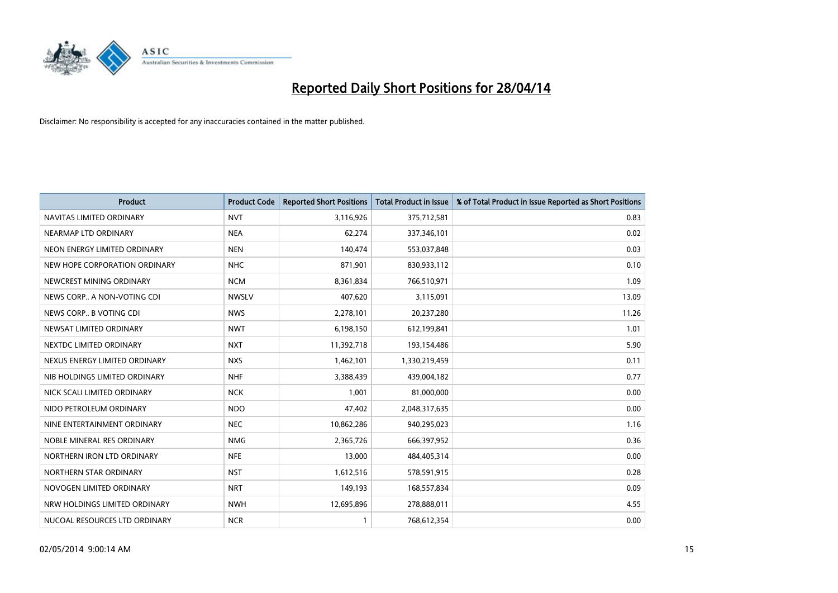

| <b>Product</b>                | <b>Product Code</b> | <b>Reported Short Positions</b> | <b>Total Product in Issue</b> | % of Total Product in Issue Reported as Short Positions |
|-------------------------------|---------------------|---------------------------------|-------------------------------|---------------------------------------------------------|
| NAVITAS LIMITED ORDINARY      | <b>NVT</b>          | 3,116,926                       | 375,712,581                   | 0.83                                                    |
| NEARMAP LTD ORDINARY          | <b>NEA</b>          | 62,274                          | 337,346,101                   | 0.02                                                    |
| NEON ENERGY LIMITED ORDINARY  | <b>NEN</b>          | 140,474                         | 553,037,848                   | 0.03                                                    |
| NEW HOPE CORPORATION ORDINARY | <b>NHC</b>          | 871,901                         | 830,933,112                   | 0.10                                                    |
| NEWCREST MINING ORDINARY      | <b>NCM</b>          | 8,361,834                       | 766,510,971                   | 1.09                                                    |
| NEWS CORP A NON-VOTING CDI    | <b>NWSLV</b>        | 407,620                         | 3,115,091                     | 13.09                                                   |
| NEWS CORP B VOTING CDI        | <b>NWS</b>          | 2,278,101                       | 20,237,280                    | 11.26                                                   |
| NEWSAT LIMITED ORDINARY       | <b>NWT</b>          | 6,198,150                       | 612,199,841                   | 1.01                                                    |
| NEXTDC LIMITED ORDINARY       | <b>NXT</b>          | 11,392,718                      | 193,154,486                   | 5.90                                                    |
| NEXUS ENERGY LIMITED ORDINARY | <b>NXS</b>          | 1,462,101                       | 1,330,219,459                 | 0.11                                                    |
| NIB HOLDINGS LIMITED ORDINARY | <b>NHF</b>          | 3,388,439                       | 439,004,182                   | 0.77                                                    |
| NICK SCALI LIMITED ORDINARY   | <b>NCK</b>          | 1,001                           | 81,000,000                    | 0.00                                                    |
| NIDO PETROLEUM ORDINARY       | <b>NDO</b>          | 47,402                          | 2,048,317,635                 | 0.00                                                    |
| NINE ENTERTAINMENT ORDINARY   | <b>NEC</b>          | 10,862,286                      | 940,295,023                   | 1.16                                                    |
| NOBLE MINERAL RES ORDINARY    | <b>NMG</b>          | 2,365,726                       | 666,397,952                   | 0.36                                                    |
| NORTHERN IRON LTD ORDINARY    | <b>NFE</b>          | 13,000                          | 484,405,314                   | 0.00                                                    |
| NORTHERN STAR ORDINARY        | <b>NST</b>          | 1,612,516                       | 578,591,915                   | 0.28                                                    |
| NOVOGEN LIMITED ORDINARY      | <b>NRT</b>          | 149,193                         | 168,557,834                   | 0.09                                                    |
| NRW HOLDINGS LIMITED ORDINARY | <b>NWH</b>          | 12,695,896                      | 278,888,011                   | 4.55                                                    |
| NUCOAL RESOURCES LTD ORDINARY | <b>NCR</b>          |                                 | 768,612,354                   | 0.00                                                    |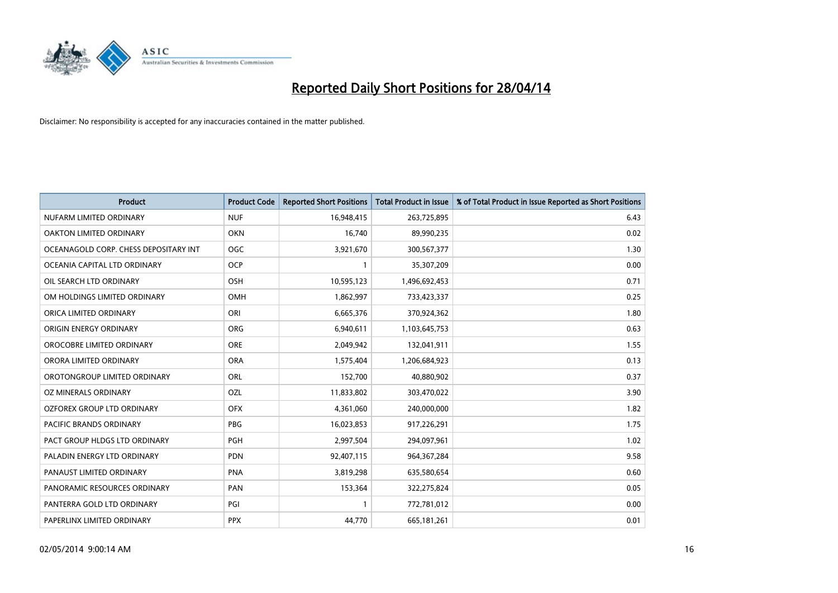

| <b>Product</b>                        | <b>Product Code</b> | <b>Reported Short Positions</b> | <b>Total Product in Issue</b> | % of Total Product in Issue Reported as Short Positions |
|---------------------------------------|---------------------|---------------------------------|-------------------------------|---------------------------------------------------------|
| NUFARM LIMITED ORDINARY               | <b>NUF</b>          | 16,948,415                      | 263,725,895                   | 6.43                                                    |
| OAKTON LIMITED ORDINARY               | <b>OKN</b>          | 16,740                          | 89,990,235                    | 0.02                                                    |
| OCEANAGOLD CORP. CHESS DEPOSITARY INT | <b>OGC</b>          | 3,921,670                       | 300,567,377                   | 1.30                                                    |
| OCEANIA CAPITAL LTD ORDINARY          | <b>OCP</b>          | $\mathbf{1}$                    | 35,307,209                    | 0.00                                                    |
| OIL SEARCH LTD ORDINARY               | OSH                 | 10,595,123                      | 1,496,692,453                 | 0.71                                                    |
| OM HOLDINGS LIMITED ORDINARY          | OMH                 | 1,862,997                       | 733,423,337                   | 0.25                                                    |
| ORICA LIMITED ORDINARY                | ORI                 | 6,665,376                       | 370,924,362                   | 1.80                                                    |
| ORIGIN ENERGY ORDINARY                | <b>ORG</b>          | 6,940,611                       | 1,103,645,753                 | 0.63                                                    |
| OROCOBRE LIMITED ORDINARY             | <b>ORE</b>          | 2,049,942                       | 132,041,911                   | 1.55                                                    |
| ORORA LIMITED ORDINARY                | <b>ORA</b>          | 1,575,404                       | 1,206,684,923                 | 0.13                                                    |
| OROTONGROUP LIMITED ORDINARY          | ORL                 | 152,700                         | 40,880,902                    | 0.37                                                    |
| OZ MINERALS ORDINARY                  | <b>OZL</b>          | 11,833,802                      | 303,470,022                   | 3.90                                                    |
| OZFOREX GROUP LTD ORDINARY            | <b>OFX</b>          | 4,361,060                       | 240,000,000                   | 1.82                                                    |
| <b>PACIFIC BRANDS ORDINARY</b>        | <b>PBG</b>          | 16,023,853                      | 917,226,291                   | 1.75                                                    |
| PACT GROUP HLDGS LTD ORDINARY         | PGH                 | 2,997,504                       | 294,097,961                   | 1.02                                                    |
| PALADIN ENERGY LTD ORDINARY           | <b>PDN</b>          | 92,407,115                      | 964, 367, 284                 | 9.58                                                    |
| PANAUST LIMITED ORDINARY              | <b>PNA</b>          | 3,819,298                       | 635,580,654                   | 0.60                                                    |
| PANORAMIC RESOURCES ORDINARY          | PAN                 | 153,364                         | 322,275,824                   | 0.05                                                    |
| PANTERRA GOLD LTD ORDINARY            | PGI                 | $\mathbf{1}$                    | 772,781,012                   | 0.00                                                    |
| PAPERLINX LIMITED ORDINARY            | <b>PPX</b>          | 44,770                          | 665, 181, 261                 | 0.01                                                    |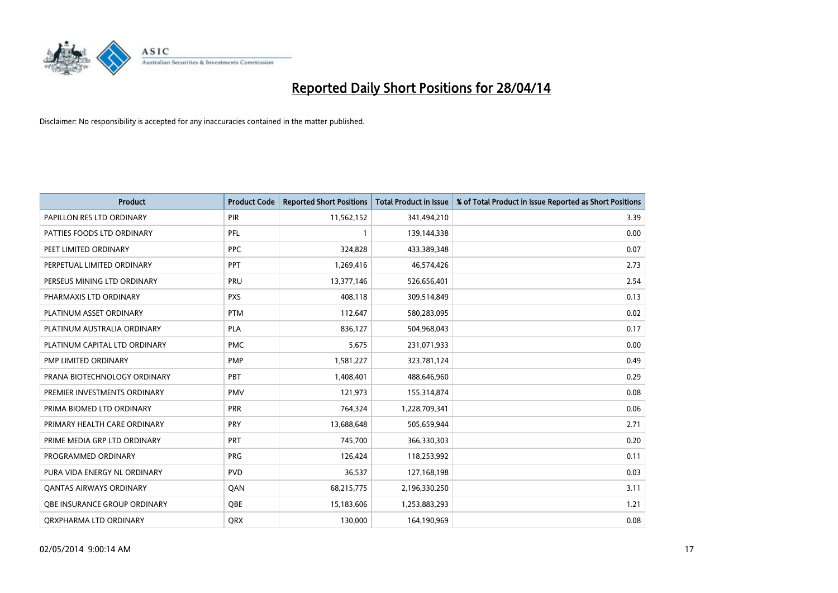

| <b>Product</b>                 | <b>Product Code</b> | <b>Reported Short Positions</b> | <b>Total Product in Issue</b> | % of Total Product in Issue Reported as Short Positions |
|--------------------------------|---------------------|---------------------------------|-------------------------------|---------------------------------------------------------|
| PAPILLON RES LTD ORDINARY      | PIR                 | 11,562,152                      | 341,494,210                   | 3.39                                                    |
| PATTIES FOODS LTD ORDINARY     | <b>PFL</b>          | 1                               | 139,144,338                   | 0.00                                                    |
| PEET LIMITED ORDINARY          | <b>PPC</b>          | 324,828                         | 433,389,348                   | 0.07                                                    |
| PERPETUAL LIMITED ORDINARY     | <b>PPT</b>          | 1,269,416                       | 46,574,426                    | 2.73                                                    |
| PERSEUS MINING LTD ORDINARY    | PRU                 | 13,377,146                      | 526,656,401                   | 2.54                                                    |
| PHARMAXIS LTD ORDINARY         | <b>PXS</b>          | 408,118                         | 309,514,849                   | 0.13                                                    |
| PLATINUM ASSET ORDINARY        | <b>PTM</b>          | 112,647                         | 580,283,095                   | 0.02                                                    |
| PLATINUM AUSTRALIA ORDINARY    | PLA                 | 836,127                         | 504,968,043                   | 0.17                                                    |
| PLATINUM CAPITAL LTD ORDINARY  | <b>PMC</b>          | 5,675                           | 231,071,933                   | 0.00                                                    |
| PMP LIMITED ORDINARY           | <b>PMP</b>          | 1,581,227                       | 323,781,124                   | 0.49                                                    |
| PRANA BIOTECHNOLOGY ORDINARY   | PBT                 | 1,408,401                       | 488,646,960                   | 0.29                                                    |
| PREMIER INVESTMENTS ORDINARY   | <b>PMV</b>          | 121,973                         | 155,314,874                   | 0.08                                                    |
| PRIMA BIOMED LTD ORDINARY      | <b>PRR</b>          | 764,324                         | 1,228,709,341                 | 0.06                                                    |
| PRIMARY HEALTH CARE ORDINARY   | <b>PRY</b>          | 13,688,648                      | 505,659,944                   | 2.71                                                    |
| PRIME MEDIA GRP LTD ORDINARY   | PRT                 | 745,700                         | 366,330,303                   | 0.20                                                    |
| PROGRAMMED ORDINARY            | <b>PRG</b>          | 126,424                         | 118,253,992                   | 0.11                                                    |
| PURA VIDA ENERGY NL ORDINARY   | <b>PVD</b>          | 36,537                          | 127,168,198                   | 0.03                                                    |
| <b>QANTAS AIRWAYS ORDINARY</b> | QAN                 | 68,215,775                      | 2,196,330,250                 | 3.11                                                    |
| OBE INSURANCE GROUP ORDINARY   | QBE                 | 15,183,606                      | 1,253,883,293                 | 1.21                                                    |
| ORXPHARMA LTD ORDINARY         | QRX                 | 130,000                         | 164,190,969                   | 0.08                                                    |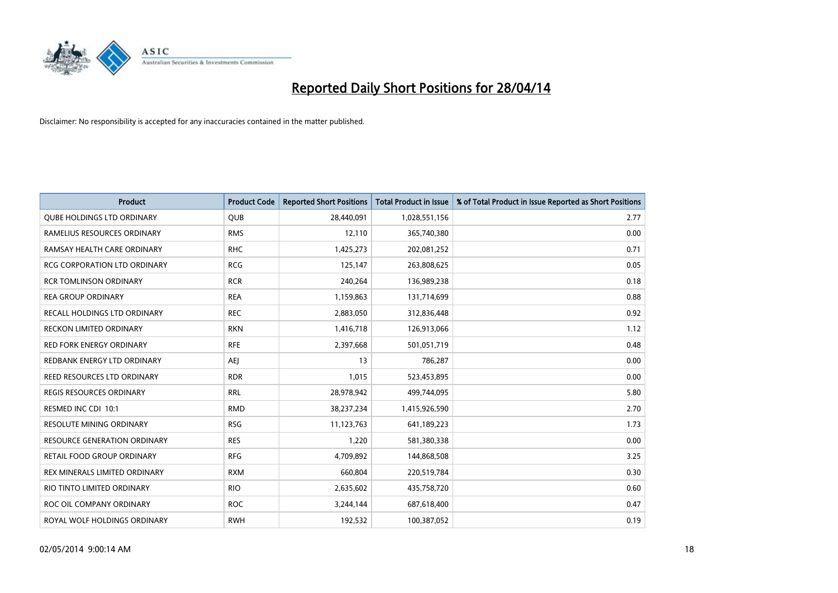

| <b>Product</b>                      | <b>Product Code</b> | <b>Reported Short Positions</b> | <b>Total Product in Issue</b> | % of Total Product in Issue Reported as Short Positions |
|-------------------------------------|---------------------|---------------------------------|-------------------------------|---------------------------------------------------------|
| <b>QUBE HOLDINGS LTD ORDINARY</b>   | <b>QUB</b>          | 28,440,091                      | 1,028,551,156                 | 2.77                                                    |
| RAMELIUS RESOURCES ORDINARY         | <b>RMS</b>          | 12,110                          | 365,740,380                   | 0.00                                                    |
| RAMSAY HEALTH CARE ORDINARY         | <b>RHC</b>          | 1,425,273                       | 202,081,252                   | 0.71                                                    |
| <b>RCG CORPORATION LTD ORDINARY</b> | <b>RCG</b>          | 125,147                         | 263,808,625                   | 0.05                                                    |
| <b>RCR TOMLINSON ORDINARY</b>       | <b>RCR</b>          | 240,264                         | 136,989,238                   | 0.18                                                    |
| <b>REA GROUP ORDINARY</b>           | <b>REA</b>          | 1,159,863                       | 131,714,699                   | 0.88                                                    |
| RECALL HOLDINGS LTD ORDINARY        | <b>REC</b>          | 2,883,050                       | 312,836,448                   | 0.92                                                    |
| <b>RECKON LIMITED ORDINARY</b>      | <b>RKN</b>          | 1,416,718                       | 126,913,066                   | 1.12                                                    |
| <b>RED FORK ENERGY ORDINARY</b>     | <b>RFE</b>          | 2,397,668                       | 501,051,719                   | 0.48                                                    |
| REDBANK ENERGY LTD ORDINARY         | <b>AEI</b>          | 13                              | 786,287                       | 0.00                                                    |
| REED RESOURCES LTD ORDINARY         | <b>RDR</b>          | 1,015                           | 523,453,895                   | 0.00                                                    |
| <b>REGIS RESOURCES ORDINARY</b>     | <b>RRL</b>          | 28,978,942                      | 499,744,095                   | 5.80                                                    |
| RESMED INC CDI 10:1                 | <b>RMD</b>          | 38,237,234                      | 1,415,926,590                 | 2.70                                                    |
| <b>RESOLUTE MINING ORDINARY</b>     | <b>RSG</b>          | 11,123,763                      | 641,189,223                   | 1.73                                                    |
| <b>RESOURCE GENERATION ORDINARY</b> | <b>RES</b>          | 1,220                           | 581,380,338                   | 0.00                                                    |
| RETAIL FOOD GROUP ORDINARY          | <b>RFG</b>          | 4,709,892                       | 144,868,508                   | 3.25                                                    |
| REX MINERALS LIMITED ORDINARY       | <b>RXM</b>          | 660,804                         | 220,519,784                   | 0.30                                                    |
| RIO TINTO LIMITED ORDINARY          | <b>RIO</b>          | 2,635,602                       | 435,758,720                   | 0.60                                                    |
| ROC OIL COMPANY ORDINARY            | <b>ROC</b>          | 3,244,144                       | 687,618,400                   | 0.47                                                    |
| ROYAL WOLF HOLDINGS ORDINARY        | <b>RWH</b>          | 192,532                         | 100,387,052                   | 0.19                                                    |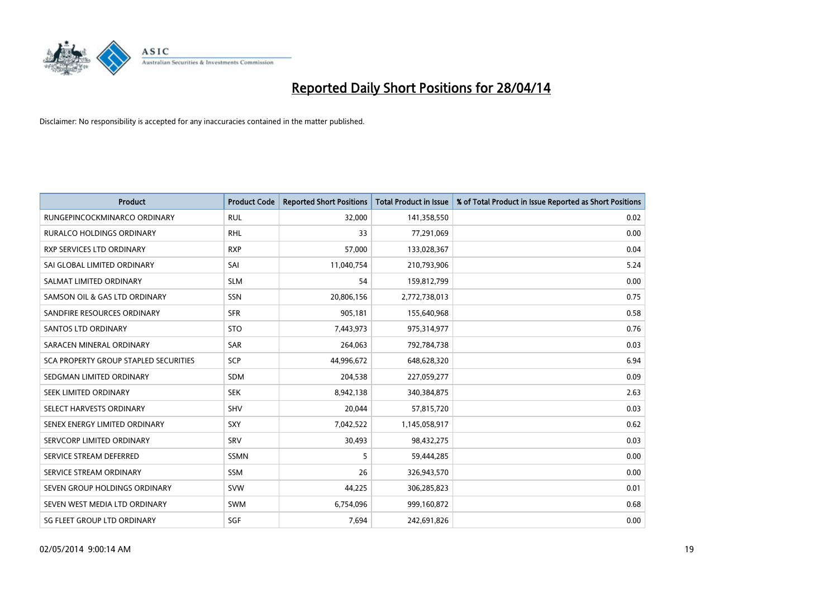

| <b>Product</b>                        | <b>Product Code</b> | <b>Reported Short Positions</b> | <b>Total Product in Issue</b> | % of Total Product in Issue Reported as Short Positions |
|---------------------------------------|---------------------|---------------------------------|-------------------------------|---------------------------------------------------------|
| RUNGEPINCOCKMINARCO ORDINARY          | <b>RUL</b>          | 32,000                          | 141,358,550                   | 0.02                                                    |
| <b>RURALCO HOLDINGS ORDINARY</b>      | <b>RHL</b>          | 33                              | 77,291,069                    | 0.00                                                    |
| RXP SERVICES LTD ORDINARY             | <b>RXP</b>          | 57,000                          | 133,028,367                   | 0.04                                                    |
| SAI GLOBAL LIMITED ORDINARY           | SAI                 | 11,040,754                      | 210,793,906                   | 5.24                                                    |
| SALMAT LIMITED ORDINARY               | <b>SLM</b>          | 54                              | 159,812,799                   | 0.00                                                    |
| SAMSON OIL & GAS LTD ORDINARY         | SSN                 | 20,806,156                      | 2,772,738,013                 | 0.75                                                    |
| SANDFIRE RESOURCES ORDINARY           | <b>SFR</b>          | 905,181                         | 155,640,968                   | 0.58                                                    |
| <b>SANTOS LTD ORDINARY</b>            | <b>STO</b>          | 7,443,973                       | 975,314,977                   | 0.76                                                    |
| SARACEN MINERAL ORDINARY              | SAR                 | 264,063                         | 792,784,738                   | 0.03                                                    |
| SCA PROPERTY GROUP STAPLED SECURITIES | SCP                 | 44,996,672                      | 648,628,320                   | 6.94                                                    |
| SEDGMAN LIMITED ORDINARY              | <b>SDM</b>          | 204,538                         | 227,059,277                   | 0.09                                                    |
| SEEK LIMITED ORDINARY                 | <b>SEK</b>          | 8,942,138                       | 340,384,875                   | 2.63                                                    |
| SELECT HARVESTS ORDINARY              | SHV                 | 20,044                          | 57,815,720                    | 0.03                                                    |
| SENEX ENERGY LIMITED ORDINARY         | <b>SXY</b>          | 7,042,522                       | 1,145,058,917                 | 0.62                                                    |
| SERVCORP LIMITED ORDINARY             | SRV                 | 30,493                          | 98,432,275                    | 0.03                                                    |
| SERVICE STREAM DEFERRED               | SSMN                | 5                               | 59,444,285                    | 0.00                                                    |
| SERVICE STREAM ORDINARY               | SSM                 | 26                              | 326,943,570                   | 0.00                                                    |
| SEVEN GROUP HOLDINGS ORDINARY         | <b>SVW</b>          | 44,225                          | 306,285,823                   | 0.01                                                    |
| SEVEN WEST MEDIA LTD ORDINARY         | <b>SWM</b>          | 6,754,096                       | 999,160,872                   | 0.68                                                    |
| SG FLEET GROUP LTD ORDINARY           | SGF                 | 7,694                           | 242,691,826                   | 0.00                                                    |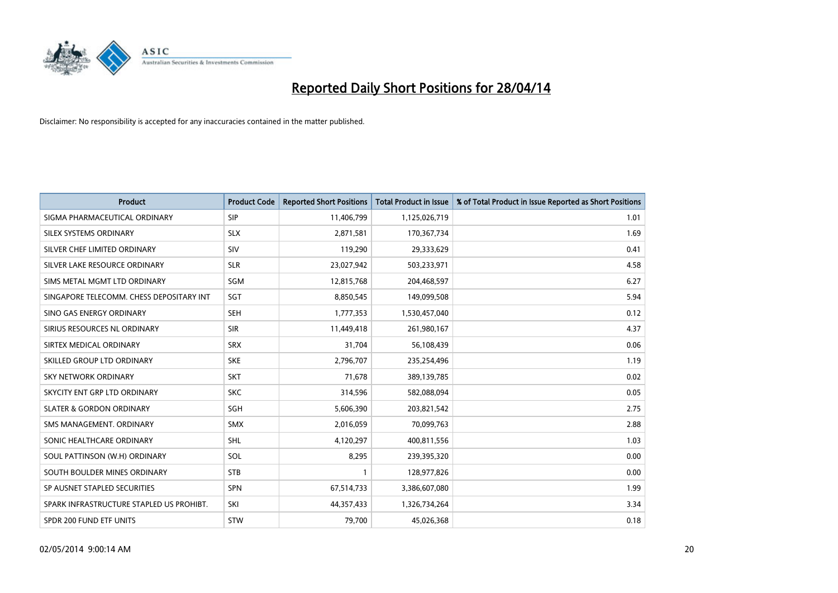

| <b>Product</b>                           | <b>Product Code</b> | <b>Reported Short Positions</b> | <b>Total Product in Issue</b> | % of Total Product in Issue Reported as Short Positions |
|------------------------------------------|---------------------|---------------------------------|-------------------------------|---------------------------------------------------------|
| SIGMA PHARMACEUTICAL ORDINARY            | <b>SIP</b>          | 11,406,799                      | 1,125,026,719                 | 1.01                                                    |
| SILEX SYSTEMS ORDINARY                   | <b>SLX</b>          | 2,871,581                       | 170,367,734                   | 1.69                                                    |
| SILVER CHEF LIMITED ORDINARY             | SIV                 | 119,290                         | 29,333,629                    | 0.41                                                    |
| SILVER LAKE RESOURCE ORDINARY            | <b>SLR</b>          | 23,027,942                      | 503,233,971                   | 4.58                                                    |
| SIMS METAL MGMT LTD ORDINARY             | SGM                 | 12,815,768                      | 204,468,597                   | 6.27                                                    |
| SINGAPORE TELECOMM. CHESS DEPOSITARY INT | SGT                 | 8,850,545                       | 149,099,508                   | 5.94                                                    |
| SINO GAS ENERGY ORDINARY                 | <b>SEH</b>          | 1,777,353                       | 1,530,457,040                 | 0.12                                                    |
| SIRIUS RESOURCES NL ORDINARY             | <b>SIR</b>          | 11,449,418                      | 261,980,167                   | 4.37                                                    |
| SIRTEX MEDICAL ORDINARY                  | <b>SRX</b>          | 31,704                          | 56,108,439                    | 0.06                                                    |
| SKILLED GROUP LTD ORDINARY               | <b>SKE</b>          | 2,796,707                       | 235,254,496                   | 1.19                                                    |
| SKY NETWORK ORDINARY                     | <b>SKT</b>          | 71,678                          | 389,139,785                   | 0.02                                                    |
| SKYCITY ENT GRP LTD ORDINARY             | <b>SKC</b>          | 314,596                         | 582,088,094                   | 0.05                                                    |
| <b>SLATER &amp; GORDON ORDINARY</b>      | SGH                 | 5,606,390                       | 203,821,542                   | 2.75                                                    |
| SMS MANAGEMENT, ORDINARY                 | <b>SMX</b>          | 2,016,059                       | 70,099,763                    | 2.88                                                    |
| SONIC HEALTHCARE ORDINARY                | <b>SHL</b>          | 4,120,297                       | 400,811,556                   | 1.03                                                    |
| SOUL PATTINSON (W.H) ORDINARY            | SOL                 | 8,295                           | 239,395,320                   | 0.00                                                    |
| SOUTH BOULDER MINES ORDINARY             | <b>STB</b>          | $\mathbf{1}$                    | 128,977,826                   | 0.00                                                    |
| SP AUSNET STAPLED SECURITIES             | <b>SPN</b>          | 67,514,733                      | 3,386,607,080                 | 1.99                                                    |
| SPARK INFRASTRUCTURE STAPLED US PROHIBT. | SKI                 | 44,357,433                      | 1,326,734,264                 | 3.34                                                    |
| SPDR 200 FUND ETF UNITS                  | <b>STW</b>          | 79,700                          | 45,026,368                    | 0.18                                                    |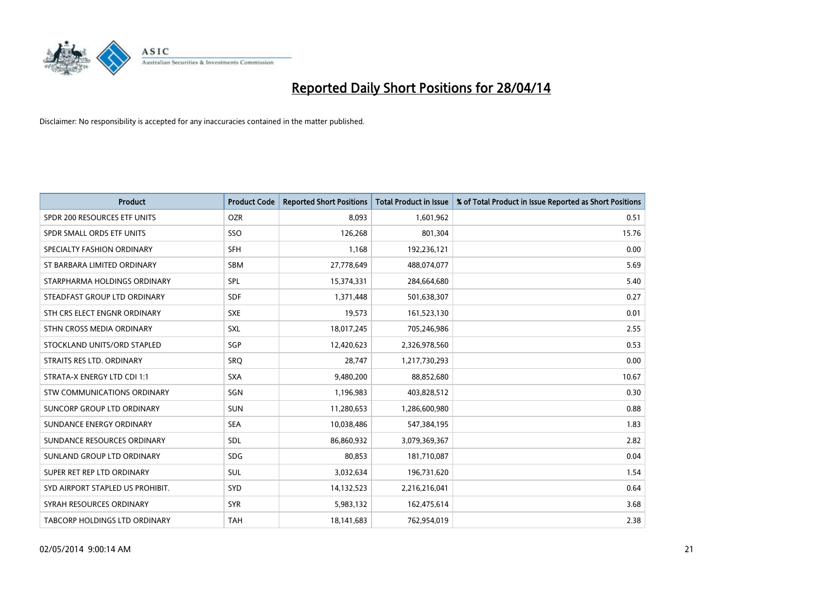

| Product                              | <b>Product Code</b> | <b>Reported Short Positions</b> | <b>Total Product in Issue</b> | % of Total Product in Issue Reported as Short Positions |
|--------------------------------------|---------------------|---------------------------------|-------------------------------|---------------------------------------------------------|
| SPDR 200 RESOURCES ETF UNITS         | <b>OZR</b>          | 8,093                           | 1,601,962                     | 0.51                                                    |
| SPDR SMALL ORDS ETF UNITS            | <b>SSO</b>          | 126,268                         | 801,304                       | 15.76                                                   |
| SPECIALTY FASHION ORDINARY           | SFH                 | 1,168                           | 192,236,121                   | 0.00                                                    |
| ST BARBARA LIMITED ORDINARY          | <b>SBM</b>          | 27,778,649                      | 488,074,077                   | 5.69                                                    |
| STARPHARMA HOLDINGS ORDINARY         | <b>SPL</b>          | 15,374,331                      | 284,664,680                   | 5.40                                                    |
| STEADFAST GROUP LTD ORDINARY         | <b>SDF</b>          | 1,371,448                       | 501,638,307                   | 0.27                                                    |
| STH CRS ELECT ENGNR ORDINARY         | <b>SXE</b>          | 19,573                          | 161,523,130                   | 0.01                                                    |
| STHN CROSS MEDIA ORDINARY            | SXL                 | 18,017,245                      | 705,246,986                   | 2.55                                                    |
| STOCKLAND UNITS/ORD STAPLED          | SGP                 | 12,420,623                      | 2,326,978,560                 | 0.53                                                    |
| STRAITS RES LTD. ORDINARY            | SRO                 | 28,747                          | 1,217,730,293                 | 0.00                                                    |
| STRATA-X ENERGY LTD CDI 1:1          | <b>SXA</b>          | 9,480,200                       | 88,852,680                    | 10.67                                                   |
| STW COMMUNICATIONS ORDINARY          | SGN                 | 1,196,983                       | 403,828,512                   | 0.30                                                    |
| SUNCORP GROUP LTD ORDINARY           | <b>SUN</b>          | 11,280,653                      | 1,286,600,980                 | 0.88                                                    |
| SUNDANCE ENERGY ORDINARY             | <b>SEA</b>          | 10,038,486                      | 547,384,195                   | 1.83                                                    |
| SUNDANCE RESOURCES ORDINARY          | <b>SDL</b>          | 86,860,932                      | 3,079,369,367                 | 2.82                                                    |
| SUNLAND GROUP LTD ORDINARY           | <b>SDG</b>          | 80,853                          | 181,710,087                   | 0.04                                                    |
| SUPER RET REP LTD ORDINARY           | SUL                 | 3,032,634                       | 196,731,620                   | 1.54                                                    |
| SYD AIRPORT STAPLED US PROHIBIT.     | SYD                 | 14,132,523                      | 2,216,216,041                 | 0.64                                                    |
| SYRAH RESOURCES ORDINARY             | <b>SYR</b>          | 5,983,132                       | 162,475,614                   | 3.68                                                    |
| <b>TABCORP HOLDINGS LTD ORDINARY</b> | <b>TAH</b>          | 18,141,683                      | 762,954,019                   | 2.38                                                    |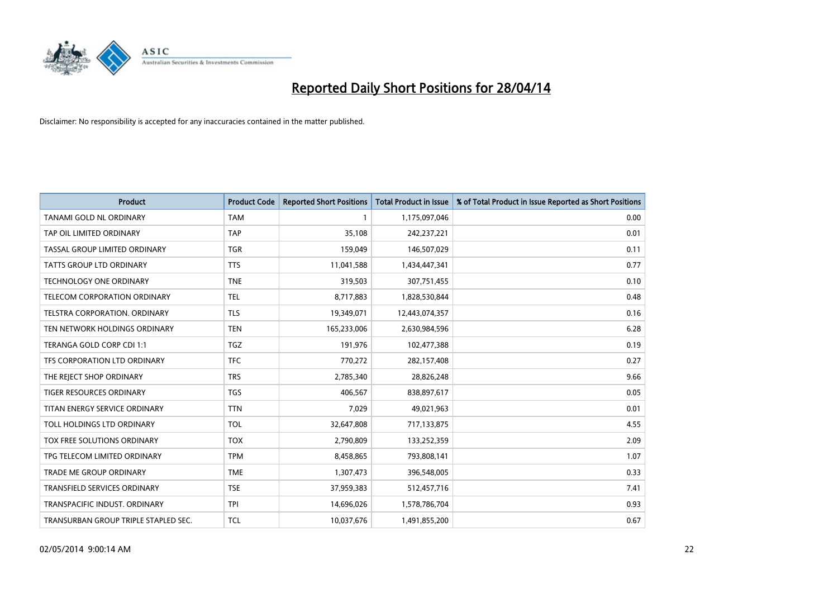

| <b>Product</b>                       | <b>Product Code</b> | <b>Reported Short Positions</b> | <b>Total Product in Issue</b> | % of Total Product in Issue Reported as Short Positions |
|--------------------------------------|---------------------|---------------------------------|-------------------------------|---------------------------------------------------------|
| <b>TANAMI GOLD NL ORDINARY</b>       | <b>TAM</b>          | 1                               | 1,175,097,046                 | 0.00                                                    |
| TAP OIL LIMITED ORDINARY             | <b>TAP</b>          | 35,108                          | 242,237,221                   | 0.01                                                    |
| TASSAL GROUP LIMITED ORDINARY        | <b>TGR</b>          | 159,049                         | 146,507,029                   | 0.11                                                    |
| TATTS GROUP LTD ORDINARY             | <b>TTS</b>          | 11,041,588                      | 1,434,447,341                 | 0.77                                                    |
| <b>TECHNOLOGY ONE ORDINARY</b>       | <b>TNE</b>          | 319,503                         | 307,751,455                   | 0.10                                                    |
| TELECOM CORPORATION ORDINARY         | <b>TEL</b>          | 8,717,883                       | 1,828,530,844                 | 0.48                                                    |
| TELSTRA CORPORATION, ORDINARY        | <b>TLS</b>          | 19,349,071                      | 12,443,074,357                | 0.16                                                    |
| TEN NETWORK HOLDINGS ORDINARY        | <b>TEN</b>          | 165,233,006                     | 2,630,984,596                 | 6.28                                                    |
| TERANGA GOLD CORP CDI 1:1            | <b>TGZ</b>          | 191,976                         | 102,477,388                   | 0.19                                                    |
| TFS CORPORATION LTD ORDINARY         | <b>TFC</b>          | 770,272                         | 282,157,408                   | 0.27                                                    |
| THE REJECT SHOP ORDINARY             | <b>TRS</b>          | 2,785,340                       | 28,826,248                    | 9.66                                                    |
| TIGER RESOURCES ORDINARY             | <b>TGS</b>          | 406,567                         | 838,897,617                   | 0.05                                                    |
| TITAN ENERGY SERVICE ORDINARY        | <b>TTN</b>          | 7,029                           | 49,021,963                    | 0.01                                                    |
| TOLL HOLDINGS LTD ORDINARY           | <b>TOL</b>          | 32,647,808                      | 717,133,875                   | 4.55                                                    |
| TOX FREE SOLUTIONS ORDINARY          | <b>TOX</b>          | 2,790,809                       | 133,252,359                   | 2.09                                                    |
| TPG TELECOM LIMITED ORDINARY         | <b>TPM</b>          | 8,458,865                       | 793,808,141                   | 1.07                                                    |
| TRADE ME GROUP ORDINARY              | <b>TME</b>          | 1,307,473                       | 396,548,005                   | 0.33                                                    |
| TRANSFIELD SERVICES ORDINARY         | <b>TSE</b>          | 37,959,383                      | 512,457,716                   | 7.41                                                    |
| TRANSPACIFIC INDUST, ORDINARY        | <b>TPI</b>          | 14,696,026                      | 1,578,786,704                 | 0.93                                                    |
| TRANSURBAN GROUP TRIPLE STAPLED SEC. | <b>TCL</b>          | 10,037,676                      | 1,491,855,200                 | 0.67                                                    |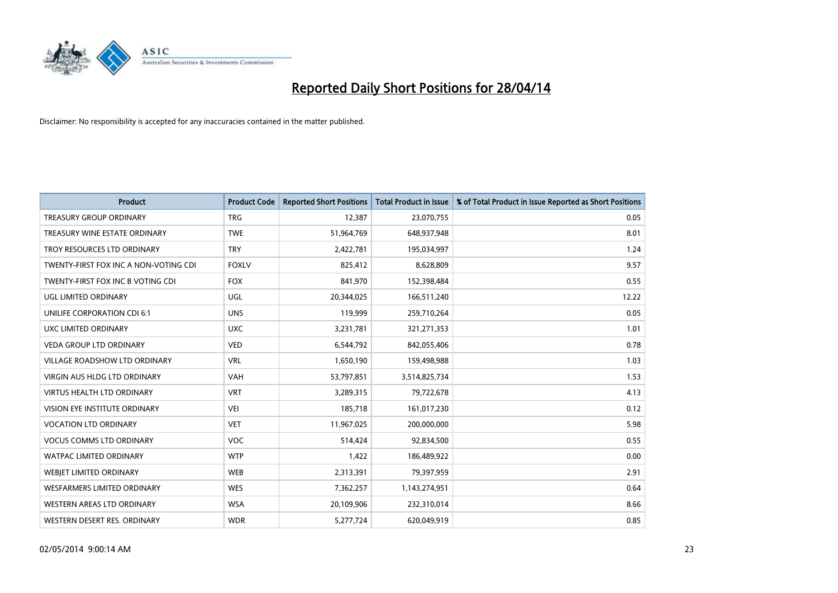

| <b>Product</b>                        | <b>Product Code</b> | <b>Reported Short Positions</b> | <b>Total Product in Issue</b> | % of Total Product in Issue Reported as Short Positions |
|---------------------------------------|---------------------|---------------------------------|-------------------------------|---------------------------------------------------------|
| <b>TREASURY GROUP ORDINARY</b>        | <b>TRG</b>          | 12,387                          | 23,070,755                    | 0.05                                                    |
| TREASURY WINE ESTATE ORDINARY         | <b>TWE</b>          | 51,964,769                      | 648,937,948                   | 8.01                                                    |
| TROY RESOURCES LTD ORDINARY           | <b>TRY</b>          | 2,422,781                       | 195,034,997                   | 1.24                                                    |
| TWENTY-FIRST FOX INC A NON-VOTING CDI | <b>FOXLV</b>        | 825,412                         | 8,628,809                     | 9.57                                                    |
| TWENTY-FIRST FOX INC B VOTING CDI     | <b>FOX</b>          | 841,970                         | 152,398,484                   | 0.55                                                    |
| UGL LIMITED ORDINARY                  | UGL                 | 20,344,025                      | 166,511,240                   | 12.22                                                   |
| UNILIFE CORPORATION CDI 6:1           | <b>UNS</b>          | 119,999                         | 259,710,264                   | 0.05                                                    |
| UXC LIMITED ORDINARY                  | <b>UXC</b>          | 3,231,781                       | 321,271,353                   | 1.01                                                    |
| <b>VEDA GROUP LTD ORDINARY</b>        | <b>VED</b>          | 6,544,792                       | 842,055,406                   | 0.78                                                    |
| <b>VILLAGE ROADSHOW LTD ORDINARY</b>  | <b>VRL</b>          | 1,650,190                       | 159,498,988                   | 1.03                                                    |
| VIRGIN AUS HLDG LTD ORDINARY          | VAH                 | 53,797,851                      | 3,514,825,734                 | 1.53                                                    |
| <b>VIRTUS HEALTH LTD ORDINARY</b>     | <b>VRT</b>          | 3,289,315                       | 79,722,678                    | 4.13                                                    |
| VISION EYE INSTITUTE ORDINARY         | <b>VEI</b>          | 185,718                         | 161,017,230                   | 0.12                                                    |
| <b>VOCATION LTD ORDINARY</b>          | <b>VET</b>          | 11,967,025                      | 200,000,000                   | 5.98                                                    |
| <b>VOCUS COMMS LTD ORDINARY</b>       | VOC                 | 514,424                         | 92,834,500                    | 0.55                                                    |
| WATPAC LIMITED ORDINARY               | <b>WTP</b>          | 1,422                           | 186,489,922                   | 0.00                                                    |
| <b>WEBIET LIMITED ORDINARY</b>        | <b>WEB</b>          | 2,313,391                       | 79,397,959                    | 2.91                                                    |
| <b>WESFARMERS LIMITED ORDINARY</b>    | <b>WES</b>          | 7,362,257                       | 1,143,274,951                 | 0.64                                                    |
| WESTERN AREAS LTD ORDINARY            | <b>WSA</b>          | 20,109,906                      | 232,310,014                   | 8.66                                                    |
| WESTERN DESERT RES. ORDINARY          | <b>WDR</b>          | 5,277,724                       | 620,049,919                   | 0.85                                                    |